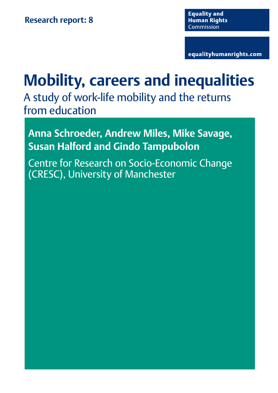equalityhumanrights.com

# **Mobility, careers and inequalities**

A study of work-life mobility and the returns from education

**Anna Schroeder, Andrew Miles, Mike Savage, Susan Halford and Gindo Tampubolon**

Centre for Research on Socio-Economic Change (CRESC), University of Manchester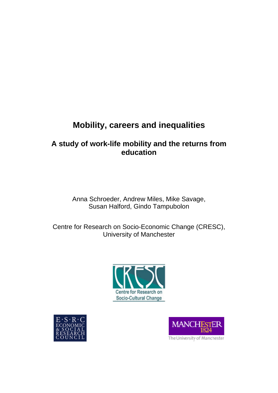## **Mobility, careers and inequalities**

## **A study of work-life mobility and the returns from education**

Anna Schroeder, Andrew Miles, Mike Savage, Susan Halford, Gindo Tampubolon

Centre for Research on Socio-Economic Change (CRESC), University of Manchester







The University of Manchester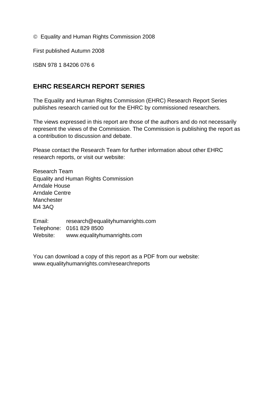© Equality and Human Rights Commission 2008

First published Autumn 2008

ISBN 978 1 84206 076 6

## **EHRC RESEARCH REPORT SERIES**

The Equality and Human Rights Commission (EHRC) Research Report Series publishes research carried out for the EHRC by commissioned researchers.

The views expressed in this report are those of the authors and do not necessarily represent the views of the Commission. The Commission is publishing the report as a contribution to discussion and debate.

Please contact the Research Team for further information about other EHRC research reports, or visit our website:

Research Team Equality and Human Rights Commission Arndale House Arndale Centre Manchester M4 3AQ

Email: research@equalityhumanrights.com Telephone: 0161 829 8500 Website: www.equalityhumanrights.com

You can download a copy of this report as a PDF from our website: [www.equalityhumanrights.com/researchreports](http://www.equalityhumanrights.com/researchreports)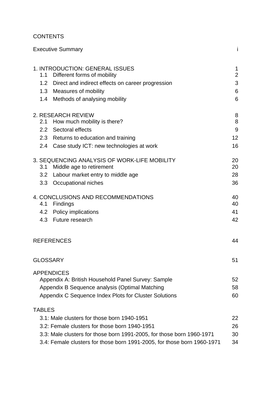## **CONTENTS**

|                 | <b>Executive Summary</b>                                                | İ               |
|-----------------|-------------------------------------------------------------------------|-----------------|
|                 | 1. INTRODUCTION: GENERAL ISSUES                                         | $\mathbf 1$     |
| 1.1             | Different forms of mobility                                             | $\overline{2}$  |
|                 | 1.2 Direct and indirect effects on career progression                   | 3               |
|                 | 1.3 Measures of mobility                                                | 6               |
|                 | 1.4 Methods of analysing mobility                                       | 6               |
|                 | 2. RESEARCH REVIEW                                                      | 8               |
|                 | 2.1 How much mobility is there?                                         | 8               |
|                 | 2.2 Sectoral effects                                                    | 9               |
|                 | 2.3 Returns to education and training                                   | 12 <sup>2</sup> |
|                 | 2.4 Case study ICT: new technologies at work                            | 16              |
|                 | 3. SEQUENCING ANALYSIS OF WORK-LIFE MOBILITY                            | 20              |
| 3.1             | Middle age to retirement                                                | 20              |
|                 | 3.2 Labour market entry to middle age                                   | 28              |
|                 | 3.3 Occupational niches                                                 | 36              |
|                 | 4. CONCLUSIONS AND RECOMMENDATIONS                                      | 40              |
|                 | 4.1 Findings                                                            | 40              |
|                 | 4.2 Policy implications                                                 | 41              |
|                 | 4.3 Future research                                                     | 42              |
|                 | <b>REFERENCES</b>                                                       | 44              |
| <b>GLOSSARY</b> |                                                                         | 51              |
|                 | <b>APPENDICES</b>                                                       |                 |
|                 | Appendix A: British Household Panel Survey: Sample                      | 52              |
|                 | Appendix B Sequence analysis (Optimal Matching                          | 58              |
|                 | Appendix C Sequence Index Plots for Cluster Solutions                   | 60              |
| <b>TABLES</b>   |                                                                         |                 |
|                 | 3.1: Male clusters for those born 1940-1951                             | 22              |
|                 | 3.2: Female clusters for those born 1940-1951                           | 26              |
|                 | 3.3: Male clusters for those born 1991-2005, for those born 1960-1971   | 30              |
|                 | 3.4: Female clusters for those born 1991-2005, for those born 1960-1971 | 34              |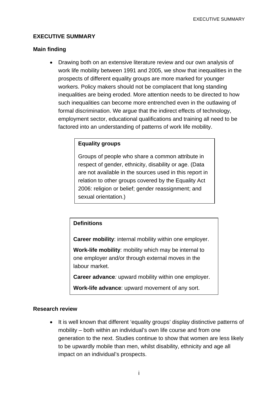#### **EXECUTIVE SUMMARY**

#### **Main finding**

• Drawing both on an extensive literature review and our own analysis of work life mobility between 1991 and 2005, we show that inequalities in the prospects of different equality groups are more marked for younger workers. Policy makers should not be complacent that long standing inequalities are being eroded. More attention needs to be directed to how such inequalities can become more entrenched even in the outlawing of formal discrimination. We argue that the indirect effects of technology, employment sector, educational qualifications and training all need to be factored into an understanding of patterns of work life mobility.

## **Equality groups**

Groups of people who share a common attribute in respect of gender, ethnicity, disability or age. (Data are not available in the sources used in this report in relation to other groups covered by the Equality Act 2006: religion or belief; gender reassignment; and sexual orientation.)

## **Definitions**

**Career mobility**: internal mobility within one employer.

**Work-life mobility**: mobility which may be internal to one employer and/or through external moves in the labour market.

**Career advance***:* upward mobility within one employer.

**Work-life advance**: upward movement of any sort.

#### **Research review**

• It is well known that different 'equality groups' display distinctive patterns of mobility – both within an individual's own life course and from one generation to the next. Studies continue to show that women are less likely to be upwardly mobile than men, whilst disability, ethnicity and age all impact on an individual's prospects.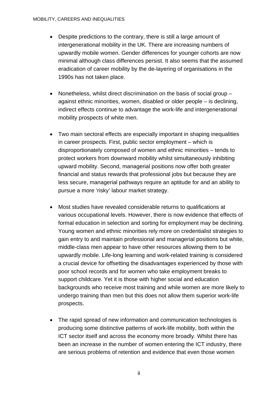- Despite predictions to the contrary, there is still a large amount of intergenerational mobility in the UK. There are increasing numbers of upwardly mobile women. Gender differences for younger cohorts are now minimal although class differences persist. It also seems that the assumed eradication of career mobility by the de-layering of organisations in the 1990s has not taken place.
- Nonetheless, whilst direct discrimination on the basis of social group against ethnic minorities, women, disabled or older people – is declining, indirect effects continue to advantage the work-life and intergenerational mobility prospects of white men.
- Two main sectoral effects are especially important in shaping inequalities in career prospects. First, public sector employment – which is disproportionately composed of women and ethnic minorities – tends to protect workers from downward mobility whilst simultaneously inhibiting upward mobility. Second, managerial positions now offer both greater financial and status rewards that professional jobs but because they are less secure, managerial pathways require an aptitude for and an ability to pursue a more 'risky' labour market strategy.
- Most studies have revealed considerable returns to qualifications at various occupational levels. However, there is now evidence that effects of formal education in selection and sorting for employment may be declining. Young women and ethnic minorities rely more on credentialist strategies to gain entry to and maintain professional and managerial positions but white, middle-class men appear to have other resources allowing them to be upwardly mobile. Life-long learning and work-related training is considered a crucial device for offsetting the disadvantages experienced by those with poor school records and for women who take employment breaks to support childcare. Yet it is those with higher social and education backgrounds who receive most training and while women are more likely to undergo training than men but this does not allow them superior work-life prospects.
- The rapid spread of new information and communication technologies is producing some distinctive patterns of work-life mobility, both within the ICT sector itself and across the economy more broadly. Whilst there has been an increase in the number of women entering the ICT industry, there are serious problems of retention and evidence that even those women

ii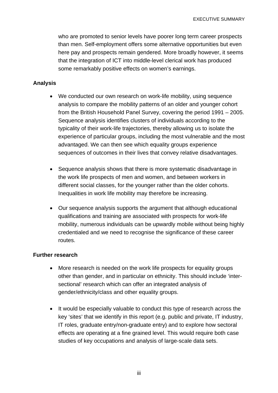who are promoted to senior levels have poorer long term career prospects than men. Self-employment offers some alternative opportunities but even here pay and prospects remain gendered. More broadly however, it seems that the integration of ICT into middle-level clerical work has produced some remarkably positive effects on women's earnings.

#### **Analysis**

- We conducted our own research on work-life mobility, using sequence analysis to compare the mobility patterns of an older and younger cohort from the British Household Panel Survey, covering the period 1991 – 2005. Sequence analysis identifies clusters of individuals according to the typicality of their work-life trajectories, thereby allowing us to isolate the experience of particular groups, including the most vulnerable and the most advantaged. We can then see which equality groups experience sequences of outcomes in their lives that convey relative disadvantages.
- Sequence analysis shows that there is more systematic disadvantage in the work life prospects of men and women, and between workers in different social classes, for the younger rather than the older cohorts. Inequalities in work life mobility may therefore be increasing.
- Our sequence analysis supports the argument that although educational qualifications and training are associated with prospects for work-life mobility, numerous individuals can be upwardly mobile without being highly credentialed and we need to recognise the significance of these career routes.

#### **Further research**

- More research is needed on the work life prospects for equality groups other than gender, and in particular on ethnicity. This should include 'intersectional' research which can offer an integrated analysis of gender/ethnicity/class and other equality groups.
- It would be especially valuable to conduct this type of research across the key 'sites' that we identify in this report (e.g. public and private, IT industry, IT roles, graduate entry/non-graduate entry) and to explore how sectoral effects are operating at a fine grained level. This would require both case studies of key occupations and analysis of large-scale data sets.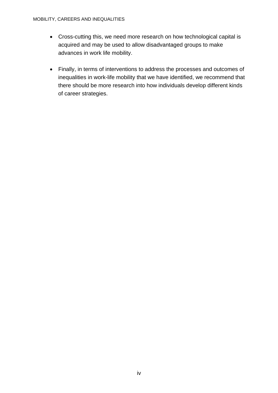- Cross-cutting this, we need more research on how technological capital is acquired and may be used to allow disadvantaged groups to make advances in work life mobility.
- Finally, in terms of interventions to address the processes and outcomes of inequalities in work-life mobility that we have identified, we recommend that there should be more research into how individuals develop different kinds of career strategies.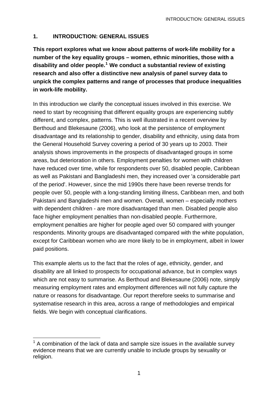#### **1. INTRODUCTION: GENERAL ISSUES**

**This report explores what we know about patterns of work-life mobility for a number of the key equality groups – women, ethnic minorities, those with a disability and older people.[1](#page-9-0) We conduct a substantial review of existing research and also offer a distinctive new analysis of panel survey data to unpick the complex patterns and range of processes that produce inequalities in work-life mobility.** 

In this introduction we clarify the conceptual issues involved in this exercise. We need to start by recognising that different equality groups are experiencing subtly different, and complex, patterns. This is well illustrated in a recent overview by Berthoud and Blekesaune (2006), who look at the persistence of employment disadvantage and its relationship to gender, disability and ethnicity, using data from the General Household Survey covering a period of 30 years up to 2003. Their analysis shows improvements in the prospects of disadvantaged groups in some areas, but deterioration in others. Employment penalties for women with children have reduced over time, while for respondents over 50, disabled people, Caribbean as well as Pakistani and Bangladeshi men, they increased over 'a considerable part of the period'. However, since the mid 1990s there have been reverse trends for people over 50, people with a long-standing limiting illness, Caribbean men, and both Pakistani and Bangladeshi men and women. Overall, women – especially mothers with dependent children - are more disadvantaged than men. Disabled people also face higher employment penalties than non-disabled people. Furthermore, employment penalties are higher for people aged over 50 compared with younger respondents. Minority groups are disadvantaged compared with the white population, except for Caribbean women who are more likely to be in employment, albeit in lower paid positions.

This example alerts us to the fact that the roles of age, ethnicity, gender, and disability are all linked to prospects for occupational advance, but in complex ways which are not easy to summarise. As Berthoud and Blekesaune (2006) note, simply measuring employment rates and employment differences will not fully capture the nature or reasons for disadvantage. Our report therefore seeks to summarise and systematise research in this area, across a range of methodologies and empirical fields. We begin with conceptual clarifications.

<u>.</u>

<span id="page-9-0"></span> $1$  A combination of the lack of data and sample size issues in the available survey evidence means that we are currently unable to include groups by sexuality or religion.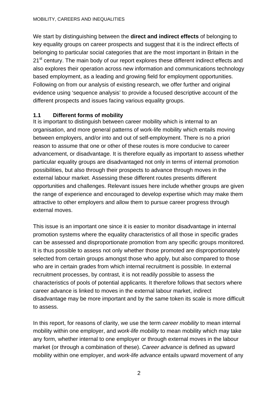#### MOBILITY, CAREERS AND INEQUALITIES

We start by distinguishing between the **direct and indirect effects** of belonging to key equality groups on career prospects and suggest that it is the indirect effects of belonging to particular social categories that are the most important in Britain in the 21<sup>st</sup> century. The main body of our report explores these different indirect effects and also explores their operation across new information and communications technology based employment, as a leading and growing field for employment opportunities. Following on from our analysis of existing research, we offer further and original evidence using 'sequence analysis' to provide a focused descriptive account of the different prospects and issues facing various equality groups.

#### **1.1 Different forms of mobility**

It is important to distinguish between career mobility which is internal to an organisation, and more general patterns of work-life mobility which entails moving between employers, and/or into and out of self-employment. There is no a priori reason to assume that one or other of these routes is more conducive to career advancement, or disadvantage. It is therefore equally as important to assess whether particular equality groups are disadvantaged not only in terms of internal promotion possibilities, but also through their prospects to advance through moves in the external labour market. Assessing these different routes presents different opportunities and challenges. Relevant issues here include whether groups are given the range of experience and encouraged to develop expertise which may make them attractive to other employers and allow them to pursue career progress through external moves.

This issue is an important one since it is easier to monitor disadvantage in internal promotion systems where the equality characteristics of all those in specific grades can be assessed and disproportionate promotion from any specific groups monitored. It is thus possible to assess not only whether those promoted are disproportionately selected from certain groups amongst those who apply, but also compared to those who are in certain grades from which internal recruitment is possible. In external recruitment processes, by contrast, it is not readily possible to assess the characteristics of pools of potential applicants. It therefore follows that sectors where career advance is linked to moves in the external labour market, indirect disadvantage may be more important and by the same token its scale is more difficult to assess.

In this report, for reasons of clarity, we use the term *career mobility* to mean internal mobility within one employer, and *work-life mobility* to mean mobility which may take any form, whether internal to one employer or through external moves in the labour market (or through a combination of these). *Career advance* is defined as upward mobility within one employer, and *work-life advance* entails upward movement of any

2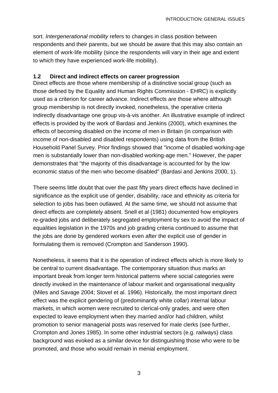sort. *Intergenerational mobility* refers to changes in class position between respondents and their parents, but we should be aware that this may also contain an element of work-life mobility (since the respondents will vary in their age and extent to which they have experienced work-life mobility).

#### **1.2 Direct and indirect effects on career progression**

Direct effects are those where membership of a distinctive social group (such as those defined by the Equality and Human Rights Commission - EHRC) is explicitly used as a criterion for career advance. Indirect effects are those where although group membership is not directly invoked, nonetheless, the operative criteria indirectly disadvantage one group vis-à-vis another. An illustrative example of indirect effects is provided by the work of Bardasi and Jenkins (2000), which examines the effects of becoming disabled on the income of men in Britain (in comparison with income of non-disabled and disabled respondents) using data from the British Household Panel Survey. Prior findings showed that "income of disabled working-age men is substantially lower than non-disabled working-age men." However, the paper demonstrates that "the majority of this disadvantage is accounted for by the low economic status of the men who become disabled" (Bardasi and Jenkins 2000, 1).

There seems little doubt that over the past fifty years direct effects have declined in significance as the explicit use of gender, disability, race and ethnicity as criteria for selection to jobs has been outlawed. At the same time, we should not assume that direct effects are completely absent. Snell et al (1981) documented how employers re-graded jobs and deliberately segregated employment by sex to avoid the impact of equalities legislation in the 1970s and job grading criteria continued to assume that the jobs are done by gendered workers even after the explicit use of gender in formulating them is removed (Crompton and Sanderson 1990).

Nonetheless, it seems that it is the operation of indirect effects which is more likely to be central to current disadvantage. The contemporary situation thus marks an important break from longer term historical patterns where social categories were directly invoked in the maintenance of labour market and organisational inequality (Miles and Savage 2004; Stovel et al. 1996). Historically, the most important direct effect was the explicit gendering of (predominantly white collar) internal labour markets, in which women were recruited to clerical-only grades, and were often expected to leave employment when they married and/or had children, whilst promotion to senior managerial posts was reserved for male clerks (see further, Crompton and Jones 1985). In some other industrial sectors (e.g. railways) class background was evoked as a similar device for distinguishing those who were to be promoted, and those who would remain in menial employment.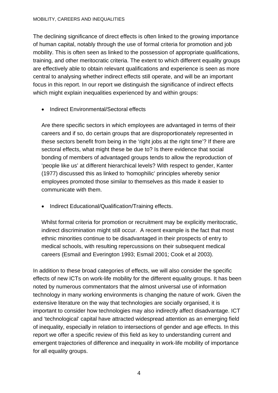#### MOBILITY, CAREERS AND INEQUALITIES

The declining significance of direct effects is often linked to the growing importance of human capital, notably through the use of formal criteria for promotion and job mobility. This is often seen as linked to the possession of appropriate qualifications, training, and other meritocratic criteria. The extent to which different equality groups are effectively able to obtain relevant qualifications and experience is seen as more central to analysing whether indirect effects still operate, and will be an important focus in this report. In our report we distinguish the significance of indirect effects which might explain inequalities experienced by and within groups:

• Indirect Environmental/Sectoral effects

Are there specific sectors in which employees are advantaged in terms of their careers and if so, do certain groups that are disproportionately represented in these sectors benefit from being in the 'right jobs at the right time'? If there are sectoral effects, what might these be due to? Is there evidence that social bonding of members of advantaged groups tends to allow the reproduction of 'people like us' at different hierarchical levels? With respect to gender, Kanter (1977) discussed this as linked to 'homophilic' principles whereby senior employees promoted those similar to themselves as this made it easier to communicate with them.

• Indirect Educational/Qualification/Training effects.

Whilst formal criteria for promotion or recruitment may be explicitly meritocratic, indirect discrimination might still occur. A recent example is the fact that most ethnic minorities continue to be disadvantaged in their prospects of entry to medical schools, with resulting repercussions on their subsequent medical careers (Esmail and Everington 1993; Esmail 2001; Cook et al 2003).

In addition to these broad categories of effects, we will also consider the specific effects of new ICTs on work-life mobility for the different equality groups. It has been noted by numerous commentators that the almost universal use of information technology in many working environments is changing the nature of work. Given the extensive literature on the way that technologies are socially organised, it is important to consider how technologies may also indirectly affect disadvantage. ICT and 'technological' capital have attracted widespread attention as an emerging field of inequality, especially in relation to intersections of gender and age effects. In this report we offer a specific review of this field as key to understanding current and emergent trajectories of difference and inequality in work-life mobility of importance for all equality groups.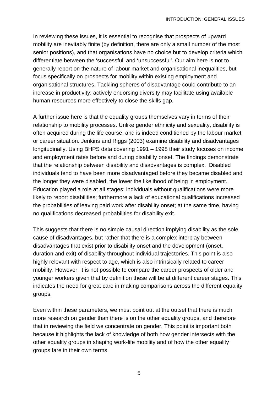In reviewing these issues, it is essential to recognise that prospects of upward mobility are inevitably finite (by definition, there are only a small number of the most senior positions), and that organisations have no choice but to develop criteria which differentiate between the 'successful' and 'unsuccessful'. Our aim here is not to generally report on the nature of labour market and organisational inequalities, but focus specifically on prospects for mobility within existing employment and organisational structures. Tackling spheres of disadvantage could contribute to an increase in productivity: actively endorsing diversity may facilitate using available human resources more effectively to close the skills gap.

A further issue here is that the equality groups themselves vary in terms of their relationship to mobility processes. Unlike gender ethnicity and sexuality, disability is often acquired during the life course, and is indeed conditioned by the labour market or career situation. Jenkins and Riggs (2003) examine disability and disadvantages longitudinally. Using BHPS data covering 1991 – 1998 their study focuses on income and employment rates before and during disability onset. The findings demonstrate that the relationship between disability and disadvantages is complex. Disabled individuals tend to have been more disadvantaged before they became disabled and the longer they were disabled, the lower the likelihood of being in employment. Education played a role at all stages: individuals without qualifications were more likely to report disabilities; furthermore a lack of educational qualifications increased the probabilities of leaving paid work after disability onset; at the same time, having no qualifications decreased probabilities for disability exit.

This suggests that there is no simple causal direction implying disability as the sole cause of disadvantages, but rather that there is a complex interplay between disadvantages that exist prior to disability onset and the development (onset, duration and exit) of disability throughout individual trajectories. This point is also highly relevant with respect to age, which is also intrinsically related to career mobility. However, it is not possible to compare the career prospects of older and younger workers given that by definition these will be at different career stages. This indicates the need for great care in making comparisons across the different equality groups.

Even within these parameters, we must point out at the outset that there is much more research on gender than there is on the other equality groups, and therefore that in reviewing the field we concentrate on gender. This point is important both because it highlights the lack of knowledge of both how gender intersects with the other equality groups in shaping work-life mobility and of how the other equality groups fare in their own terms.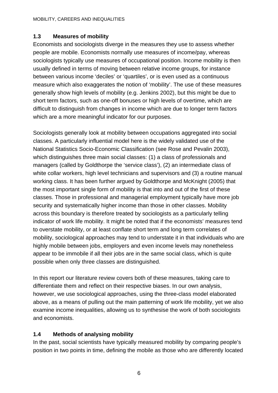## **1.3 Measures of mobility**

Economists and sociologists diverge in the measures they use to assess whether people are mobile. Economists normally use measures of income/pay, whereas sociologists typically use measures of occupational position. Income mobility is then usually defined in terms of moving between relative income groups, for instance between various income 'deciles' or 'quartiles', or is even used as a continuous measure which also exaggerates the notion of 'mobility'. The use of these measures generally show high levels of mobility (e.g. Jenkins 2002), but this might be due to short term factors, such as one-off bonuses or high levels of overtime, which are difficult to distinguish from changes in income which are due to longer term factors which are a more meaningful indicator for our purposes.

Sociologists generally look at mobility between occupations aggregated into social classes. A particularly influential model here is the widely validated use of the National Statistics Socio-Economic Classification (see Rose and Pevalin 2003), which distinguishes three main social classes: (1) a class of professionals and managers (called by Goldthorpe the 'service class'), (2) an intermediate class of white collar workers, high level technicians and supervisors and (3) a routine manual working class. It has been further argued by Goldthorpe and McKnight (2005) that the most important single form of mobility is that into and out of the first of these classes. Those in professional and managerial employment typically have more job security and systematically higher income than those in other classes. Mobility across this boundary is therefore treated by sociologists as a particularly telling indicator of work life mobility. It might be noted that if the economists' measures tend to overstate mobility, or at least conflate short term and long term correlates of mobility, sociological approaches may tend to understate it in that individuals who are highly mobile between jobs, employers and even income levels may nonetheless appear to be immobile if all their jobs are in the same social class, which is quite possible when only three classes are distinguished.

In this report our literature review covers both of these measures, taking care to differentiate them and reflect on their respective biases. In our own analysis, however, we use sociological approaches, using the three-class model elaborated above, as a means of pulling out the main patterning of work life mobility, yet we also examine income inequalities, allowing us to synthesise the work of both sociologists and economists.

## **1.4 Methods of analysing mobility**

In the past, social scientists have typically measured mobility by comparing people's position in two points in time, defining the mobile as those who are differently located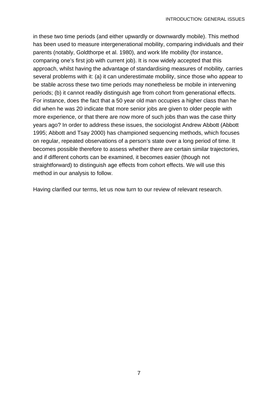in these two time periods (and either upwardly or downwardly mobile). This method has been used to measure intergenerational mobility, comparing individuals and their parents (notably, Goldthorpe et al. 1980), and work life mobility (for instance, comparing one's first job with current job). It is now widely accepted that this approach, whilst having the advantage of standardising measures of mobility, carries several problems with it: (a) it can underestimate mobility, since those who appear to be stable across these two time periods may nonetheless be mobile in intervening periods; (b) it cannot readily distinguish age from cohort from generational effects. For instance, does the fact that a 50 year old man occupies a higher class than he did when he was 20 indicate that more senior jobs are given to older people with more experience, or that there are now more of such jobs than was the case thirty years ago? In order to address these issues, the sociologist Andrew Abbott (Abbott 1995; Abbott and Tsay 2000) has championed sequencing methods, which focuses on regular, repeated observations of a person's state over a long period of time. It becomes possible therefore to assess whether there are certain similar trajectories, and if different cohorts can be examined, it becomes easier (though not straightforward) to distinguish age effects from cohort effects. We will use this method in our analysis to follow.

Having clarified our terms, let us now turn to our review of relevant research.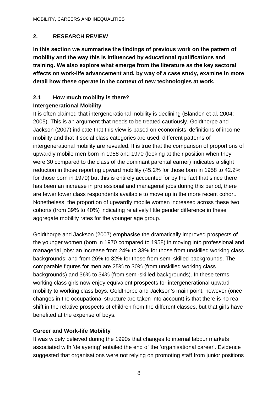## **2. RESEARCH REVIEW**

**In this section we summarise the findings of previous work on the pattern of mobility and the way this is influenced by educational qualifications and training. We also explore what emerge from the literature as the key sectoral effects on work-life advancement and, by way of a case study, examine in more detail how these operate in the context of new technologies at work.** 

## **2.1 How much mobility is there?**

## **Intergenerational Mobility**

It is often claimed that intergenerational mobility is declining (Blanden et al. 2004; 2005). This is an argument that needs to be treated cautiously. Goldthorpe and Jackson (2007) indicate that this view is based on economists' definitions of income mobility and that if social class categories are used, different patterns of intergenerational mobility are revealed. It is true that the comparison of proportions of upwardly mobile men born in 1958 and 1970 (looking at their position when they were 30 compared to the class of the dominant parental earner) indicates a slight reduction in those reporting upward mobility (45.2% for those born in 1958 to 42.2% for those born in 1970) but this is entirely accounted for by the fact that since there has been an increase in professional and managerial jobs during this period, there are fewer lower class respondents available to move up in the more recent cohort. Nonetheless, the proportion of upwardly mobile women increased across these two cohorts (from 39% to 40%) indicating relatively little gender difference in these aggregate mobility rates for the younger age group.

Goldthorpe and Jackson (2007) emphasise the dramatically improved prospects of the younger women (born in 1970 compared to 1958) in moving into professional and managerial jobs: an increase from 24% to 33% for those from unskilled working class backgrounds; and from 26% to 32% for those from semi skilled backgrounds. The comparable figures for men are 25% to 30% (from unskilled working class backgrounds) and 36% to 34% (from semi-skilled backgrounds). In these terms, working class girls now enjoy equivalent prospects for intergenerational upward mobility to working class boys. Goldthorpe and Jackson's main point, however (once changes in the occupational structure are taken into account) is that there is no real shift in the relative prospects of children from the different classes, but that girls have benefited at the expense of boys.

## **Career and Work-life Mobility**

It was widely believed during the 1990s that changes to internal labour markets associated with 'delayering' entailed the end of the 'organisational career'. Evidence suggested that organisations were not relying on promoting staff from junior positions

8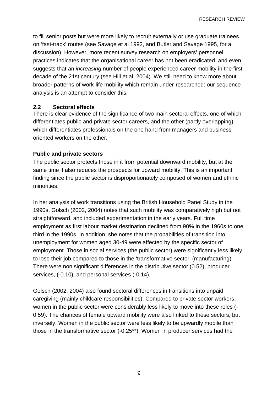RESEARCH REVIEW

to fill senior posts but were more likely to recruit externally or use graduate trainees on 'fast-track' routes (see Savage et al 1992, and Butler and Savage 1995, for a discussion). However, more recent survey research on employers' personnel practices indicates that the organisational career has not been eradicated, and even suggests that an *increasing* number of people experienced career mobility in the first decade of the 21st century (see Hill et al. 2004). We still need to know more about broader patterns of work-life mobility which remain under-researched: our sequence analysis is an attempt to consider this.

#### **2.2 Sectoral effects**

There is clear evidence of the significance of two main sectoral effects, one of which differentiates public and private sector careers, and the other (partly overlapping) which differentiates professionals on the one hand from managers and business oriented workers on the other.

#### **Public and private sectors**

The public sector protects those in it from potential downward mobility, but at the same time it also reduces the prospects for upward mobility. This is an important finding since the public sector is disproportionately composed of women and ethnic minorities.

In her analysis of work transitions using the British Household Panel Study in the 1990s, Golsch (2002, 2004) notes that such mobility was comparatively high but not straightforward, and included experimentation in the early years. Full time employment as first labour market destination declined from 90% in the 1960s to one third in the 1990s. In addition, she notes that the probabilities of transition into unemployment for women aged 30-49 were affected by the specific sector of employment. Those in social services (the public sector) were significantly less likely to lose their job compared to those in the 'transformative sector' (manufacturing). There were non significant differences in the distributive sector (0.52), producer services, (-0.10), and personal services (-0.14).

Golsch (2002, 2004) also found sectoral differences in transitions into unpaid caregiving (mainly childcare responsibilities). Compared to private sector workers, women in the public sector were considerably less likely to move into these roles (- 0.59). The chances of female upward mobility were also linked to these sectors, but inversely. Women in the public sector were less likely to be upwardly mobile than those in the transformative sector (-0.25\*\*). Women in producer services had the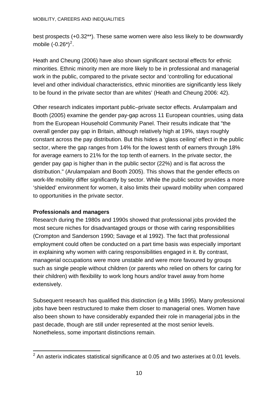best prospects (+0.32\*\*). These same women were also less likely to be downwardly mobile  $(-0.26^*)^2$  $(-0.26^*)^2$  $(-0.26^*)^2$ .

Heath and Cheung (2006) have also shown significant sectoral effects for ethnic minorities. Ethnic minority men are more likely to be in professional and managerial work in the public, compared to the private sector and 'controlling for educational level and other individual characteristics, ethnic minorities are significantly less likely to be found in the private sector than are whites' (Heath and Cheung 2006: 42).

Other research indicates important public–private sector effects. Arulampalam and Booth (2005) examine the gender pay-gap across 11 European countries, using data from the European Household Community Panel. Their results indicate that "the overall gender pay gap in Britain, although relatively high at 19%, stays roughly constant across the pay distribution. But this hides a 'glass ceiling' effect in the public sector, where the gap ranges from 14% for the lowest tenth of earners through 18% for average earners to 21% for the top tenth of earners. In the private sector, the gender pay gap is higher than in the public sector (22%) and is flat across the distribution." (Arulampalam and Booth 2005). This shows that the gender effects on work-life mobility differ significantly by sector. While the public sector provides a more 'shielded' environment for women, it also limits their upward mobility when compared to opportunities in the private sector.

#### **Professionals and managers**

Research during the 1980s and 1990s showed that professional jobs provided the most secure niches for disadvantaged groups or those with caring responsibilities (Crompton and Sanderson 1990; Savage et al 1992). The fact that professional employment could often be conducted on a part time basis was especially important in explaining why women with caring responsibilities engaged in it. By contrast, managerial occupations were more unstable and were more favoured by groups such as single people without children (or parents who relied on others for caring for their children) with flexibility to work long hours and/or travel away from home extensively.

Subsequent research has qualified this distinction (e.g Mills 1995). Many professional jobs have been restructured to make them closer to managerial ones. Women have also been shown to have considerably expanded their role in managerial jobs in the past decade, though are still under represented at the most senior levels. Nonetheless, some important distinctions remain.

<span id="page-18-0"></span> 2 An asterix indicates statistical significance at 0.05 and two asterixes at 0.01 levels.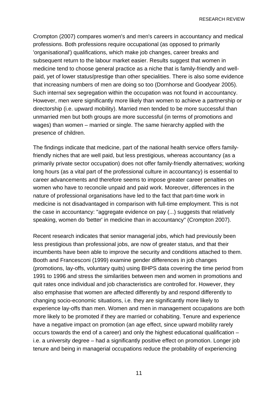RESEARCH REVIEW

Crompton (2007) compares women's and men's careers in accountancy and medical professions. Both professions require occupational (as opposed to primarily 'organisational') qualifications, which make job changes, career breaks and subsequent return to the labour market easier. Results suggest that women in medicine tend to choose general practice as a niche that is family-friendly and wellpaid, yet of lower status/prestige than other specialities. There is also some evidence that increasing numbers of men are doing so too (Dornhorse and Goodyear 2005). Such internal sex segregation within the occupation was not found in accountancy. However, men were significantly more likely than women to achieve a partnership or directorship (i.e. upward mobility). Married men tended to be more successful than unmarried men but both groups are more successful (in terms of promotions and wages) than women – married or single. The same hierarchy applied with the presence of children.

The findings indicate that medicine, part of the national health service offers familyfriendly niches that are well paid, but less prestigious, whereas accountancy (as a primarily private sector occupation) does not offer family-friendly alternatives; working long hours (as a vital part of the professional culture in accountancy) is essential to career advancements and therefore seems to impose greater career penalties on women who have to reconcile unpaid and paid work. Moreover, differences in the nature of professional organisations have led to the fact that part-time work in medicine is not disadvantaged in comparison with full-time employment. This is not the case in accountancy: "aggregate evidence on pay (...) suggests that relatively speaking, women do 'better' in medicine than in accountancy" (Crompton 2007).

Recent research indicates that senior managerial jobs, which had previously been less prestigious than professional jobs, are now of greater status, and that their incumbents have been able to improve the security and conditions attached to them. Booth and Francesconi (1999) examine gender differences in job changes (promotions, lay-offs, voluntary quits) using BHPS data covering the time period from 1991 to 1996 and stress the similarities between men and women in promotions and quit rates once individual and job characteristics are controlled for. However, they also emphasise that women are affected differently by and respond differently to changing socio-economic situations, i.e. they are significantly more likely to experience lay-offs than men. Women and men in management occupations are both more likely to be promoted if they are married or cohabiting. Tenure and experience have a negative impact on promotion (an age effect, since upward mobility rarely occurs towards the end of a career) and only the highest educational qualification – i.e. a university degree – had a significantly positive effect on promotion. Longer job tenure and being in managerial occupations reduce the probability of experiencing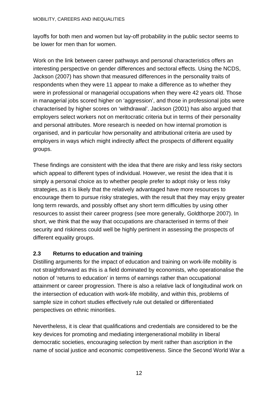layoffs for both men and women but lay-off probability in the public sector seems to be lower for men than for women.

Work on the link between career pathways and personal characteristics offers an interesting perspective on gender differences and sectoral effects. Using the NCDS, Jackson (2007) has shown that measured differences in the personality traits of respondents when they were 11 appear to make a difference as to whether they were in professional or managerial occupations when they were 42 years old. Those in managerial jobs scored higher on 'aggression', and those in professional jobs were characterised by higher scores on 'withdrawal'. Jackson (2001) has also argued that employers select workers not on meritocratic criteria but in terms of their personality and personal attributes. More research is needed on how internal promotion is organised, and in particular how personality and attributional criteria are used by employers in ways which might indirectly affect the prospects of different equality groups.

These findings are consistent with the idea that there are risky and less risky sectors which appeal to different types of individual. However, we resist the idea that it is simply a personal choice as to whether people prefer to adopt risky or less risky strategies, as it is likely that the relatively advantaged have more resources to encourage them to pursue risky strategies, with the result that they may enjoy greater long term rewards, and possibly offset any short term difficulties by using other resources to assist their career progress (see more generally, Goldthorpe 2007). In short, we think that the way that occupations are characterised in terms of their security and riskiness could well be highly pertinent in assessing the prospects of different equality groups.

## **2.3 Returns to education and training**

Distilling arguments for the impact of education and training on work-life mobility is not straightforward as this is a field dominated by economists, who operationalise the notion of 'returns to education' in terms of earnings rather than occupational attainment or career progression. There is also a relative lack of longitudinal work on the intersection of education with work-life mobility, and within this, problems of sample size in cohort studies effectively rule out detailed or differentiated perspectives on ethnic minorities.

Nevertheless, it is clear that qualifications and credentials are considered to be the key devices for promoting and mediating intergenerational mobility in liberal democratic societies, encouraging selection by merit rather than ascription in the name of social justice and economic competitiveness. Since the Second World War a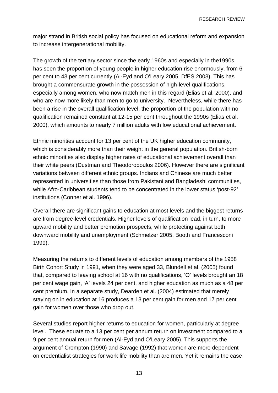major strand in British social policy has focused on educational reform and expansion to increase intergenerational mobility.

The growth of the tertiary sector since the early 1960s and especially in the1990s has seen the proportion of young people in higher education rise enormously, from 6 per cent to 43 per cent currently (Al-Eyd and O'Leary 2005, DfES 2003). This has brought a commensurate growth in the possession of high-level qualifications, especially among women, who now match men in this regard (Elias et al. 2000), and who are now more likely than men to go to university. Nevertheless, while there has been a rise in the overall qualification level, the proportion of the population with no qualification remained constant at 12-15 per cent throughout the 1990s (Elias et al. 2000), which amounts to nearly 7 million adults with low educational achievement.

Ethnic minorities account for 13 per cent of the UK higher education community, which is considerably more than their weight in the general population. British-born ethnic minorities also display higher rates of educational achievement overall than their white peers (Dustman and Theodoropoulos 2006). However there are significant variations between different ethnic groups. Indians and Chinese are much better represented in universities than those from Pakistani and Bangladeshi communities, while Afro-Caribbean students tend to be concentrated in the lower status 'post-92' institutions (Conner et al. 1996).

Overall there are significant gains to education at most levels and the biggest returns are from degree-level credentials. Higher levels of qualification lead, in turn, to more upward mobility and better promotion prospects, while protecting against both downward mobility and unemployment (Schmelzer 2005, Booth and Francesconi 1999).

Measuring the returns to different levels of education among members of the 1958 Birth Cohort Study in 1991, when they were aged 33, Blundell et al. (2005) found that, compared to leaving school at 16 with no qualifications, 'O' levels brought an 18 per cent wage gain, 'A' levels 24 per cent, and higher education as much as a 48 per cent premium. In a separate study, Dearden et al. (2004) estimated that merely staying on in education at 16 produces a 13 per cent gain for men and 17 per cent gain for women over those who drop out.

Several studies report higher returns to education for women, particularly at degree level. These equate to a 13 per cent per annum return on investment compared to a 9 per cent annual return for men (Al-Eyd and O'Leary 2005). This supports the argument of Crompton (1990) and Savage (1992) that women are more dependent on credentialist strategies for work life mobility than are men. Yet it remains the case

13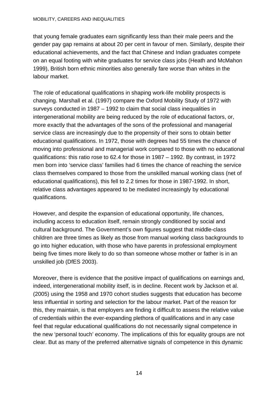#### MOBILITY, CAREERS AND INEQUALITIES

that young female graduates earn significantly less than their male peers and the gender pay gap remains at about 20 per cent in favour of men. Similarly, despite their educational achievements, and the fact that Chinese and Indian graduates compete on an equal footing with white graduates for service class jobs (Heath and McMahon 1999), British born ethnic minorities also generally fare worse than whites in the labour market.

The role of educational qualifications in shaping work-life mobility prospects is changing. Marshall et al. (1997) compare the Oxford Mobility Study of 1972 with surveys conducted in 1987 – 1992 to claim that social class inequalities in intergenerational mobility are being reduced by the role of educational factors, or, more exactly that the advantages of the sons of the professional and managerial service class are increasingly due to the propensity of their sons to obtain better educational qualifications. In 1972, those with degrees had 55 times the chance of moving into professional and managerial work compared to those with no educational qualifications: this ratio rose to 62.4 for those in 1987 – 1992. By contrast, in 1972 men born into 'service class' families had 6 times the chance of reaching the service class themselves compared to those from the unskilled manual working class (net of educational qualifications), this fell to 2.2 times for those in 1987-1992. In short, relative class advantages appeared to be mediated increasingly by educational qualifications.

However, and despite the expansion of educational opportunity, life chances, including access to education itself, remain strongly conditioned by social and cultural background. The Government's own figures suggest that middle-class children are three times as likely as those from manual working class backgrounds to go into higher education, with those who have parents in professional employment being five times more likely to do so than someone whose mother or father is in an unskilled job (DfES 2003).

Moreover, there is evidence that the positive impact of qualifications on earnings and, indeed, intergenerational mobility itself, is in decline. Recent work by Jackson et al. (2005) using the 1958 and 1970 cohort studies suggests that education has become less influential in sorting and selection for the labour market. Part of the reason for this, they maintain, is that employers are finding it difficult to assess the relative value of credentials within the ever-expanding plethora of qualifications and in any case feel that regular educational qualifications do not necessarily signal competence in the new 'personal touch' economy. The implications of this for equality groups are not clear. But as many of the preferred alternative signals of competence in this dynamic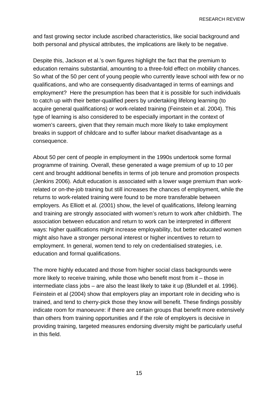RESEARCH REVIEW

and fast growing sector include ascribed characteristics, like social background and both personal and physical attributes, the implications are likely to be negative.

Despite this, Jackson et al.'s own figures highlight the fact that the premium to education remains substantial, amounting to a three-fold effect on mobility chances. So what of the 50 per cent of young people who currently leave school with few or no qualifications, and who are consequently disadvantaged in terms of earnings and employment? Here the presumption has been that it is possible for such individuals to catch up with their better-qualified peers by undertaking lifelong learning (to acquire general qualifications) or work-related training (Feinstein et al. 2004). This type of learning is also considered to be especially important in the context of women's careers, given that they remain much more likely to take employment breaks in support of childcare and to suffer labour market disadvantage as a consequence.

About 50 per cent of people in employment in the 1990s undertook some formal programme of training. Overall, these generated a wage premium of up to 10 per cent and brought additional benefits in terms of job tenure and promotion prospects (Jenkins 2006). Adult education is associated with a lower wage premium than workrelated or on-the-job training but still increases the chances of employment, while the returns to work-related training were found to be more transferable between employers. As Elliott et al. (2001) show, the level of qualifications, lifelong learning and training are strongly associated with women's return to work after childbirth. The association between education and return to work can be interpreted in different ways: higher qualifications might increase employability, but better educated women might also have a stronger personal interest or higher incentives to return to employment. In general, women tend to rely on credentialised strategies, i.e. education and formal qualifications.

The more highly educated and those from higher social class backgrounds were more likely to receive training, while those who benefit most from it – those in intermediate class jobs – are also the least likely to take it up (Blundell et al. 1996). Feinstein et al (2004) show that employers play an important role in deciding who is trained, and tend to cherry-pick those they know will benefit. These findings possibly indicate room for manoeuvre: if there are certain groups that benefit more extensively than others from training opportunities and if the role of employers is decisive in providing training, targeted measures endorsing diversity might be particularly useful in this field.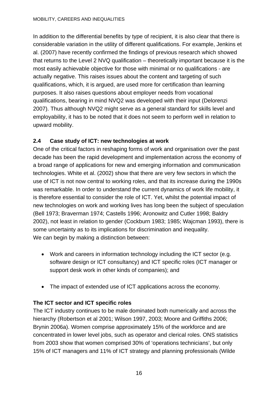In addition to the differential benefits by type of recipient, it is also clear that there is considerable variation in the utility of different qualifications. For example, Jenkins et al. (2007) have recently confirmed the findings of previous research which showed that returns to the Level 2 NVQ qualification – theoretically important because it is the most easily achievable objective for those with minimal or no qualifications - are actually negative. This raises issues about the content and targeting of such qualifications, which, it is argued, are used more for certification than learning purposes. It also raises questions about employer needs from vocational qualifications, bearing in mind NVQ2 was developed with their input (Delorenzi 2007). Thus although NVQ2 might serve as a general standard for skills level and employability, it has to be noted that it does not seem to perform well in relation to upward mobility.

## **2.4 Case study of ICT: new technologies at work**

One of the critical factors in reshaping forms of work and organisation over the past decade has been the rapid development and implementation across the economy of a broad range of applications for new and emerging information and communication technologies. White et al. (2002) show that there are very few sectors in which the use of ICT is not now central to working roles, and that its increase during the 1990s was remarkable. In order to understand the current dynamics of work life mobility, it is therefore essential to consider the role of ICT. Yet, whilst the potential impact of new technologies on work and working lives has long been the subject of speculation (Bell 1973; Braverman 1974; Castells 1996; Aronowitz and Cutler 1998; Baldry 2002), not least in relation to gender (Cockburn 1983; 1985; Wajcman 1993), there is some uncertainty as to its implications for discrimination and inequality. We can begin by making a distinction between:

- Work and careers in information technology including the ICT sector (e.g. software design or ICT consultancy) and ICT specific roles (ICT manager or support desk work in other kinds of companies); and
- The impact of extended use of ICT applications across the economy.

## **The ICT sector and ICT specific roles**

The ICT industry continues to be male dominated both numerically and across the hierarchy (Robertson et al 2001; Wilson 1997, 2003; Moore and Griffiths 2006; Brynin 2006a). Women comprise approximately 15% of the workforce and are concentrated in lower level jobs, such as operator and clerical roles. ONS statistics from 2003 show that women comprised 30% of 'operations technicians', but only 15% of ICT managers and 11% of ICT strategy and planning professionals (Wilde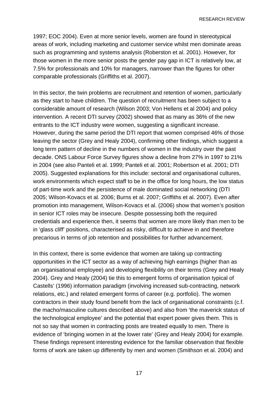RESEARCH REVIEW

1997; EOC 2004). Even at more senior levels, women are found in stereotypical areas of work, including marketing and customer service whilst men dominate areas such as programming and systems analysis (Roberston et al. 2001). However, for those women in the more senior posts the gender pay gap in ICT is relatively low, at 7.5% for professionals and 10% for managers, narrower than the figures for other comparable professionals (Griffiths et al. 2007).

In this sector, the twin problems are recruitment and retention of women, particularly as they start to have children. The question of recruitment has been subject to a considerable amount of research (Wilson 2003; Von Hellens et al 2004) and policy intervention. A recent DTI survey (2002) showed that as many as 36% of the new entrants to the ICT industry were women, suggesting a significant increase. However, during the same period the DTI report that women comprised 46% of those leaving the sector (Grey and Healy 2004), confirming other findings, which suggest a long term pattern of decline in the numbers of women in the industry over the past decade. ONS Labour Force Survey figures show a decline from 27% in 1997 to 21% in 2004 (see also Panteli et al. 1999; Panteli et al. 2001; Robertson et al. 2001; DTI 2005). Suggested explanations for this include: sectoral and organisational cultures, work environments which expect staff to be in the office for long hours, the low status of part-time work and the persistence of male dominated social networking (DTI 2005; Wilson-Kovacs et al. 2006; Burns et al. 2007; Griffiths et al. 2007). Even after promotion into management, Wilson-Kovacs et al. (2006) show that women's position in senior ICT roles may be insecure. Despite possessing both the required credentials and experience then, it seems that women are more likely than men to be in 'glass cliff' positions, characterised as risky, difficult to achieve in and therefore precarious in terms of job retention and possibilities for further advancement.

In this context, there is some evidence that women are taking up contracting opportunities in the ICT sector as a way of achieving high earnings (higher than as an organisational employee) and developing flexibility on their terms (Grey and Healy 2004). Grey and Healy (2004) tie this to emergent forms of organisation typical of Castells' (1996) information paradigm (involving increased sub-contracting, network relations, etc.) and related emergent forms of career (e.g. portfolio). The women contractors in their study found benefit from the lack of organisational constraints (c.f. the macho/masculine cultures described above) and also from 'the maverick status of the technological employee' and the potential that expert power gives them. This is not so say that women in contracting posts are treated equally to men. There is evidence of 'bringing women in at the lower rate' (Grey and Healy 2004) for example. These findings represent interesting evidence for the familiar observation that flexible forms of work are taken up differently by men and women (Smithson et al. 2004) and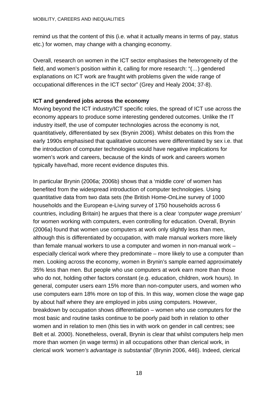remind us that the content of this (i.e. what it actually means in terms of pay, status etc.) for women, may change with a changing economy.

Overall, research on women in the ICT sector emphasises the heterogeneity of the field, and women's position within it, calling for more research: "(…) gendered explanations on ICT work are fraught with problems given the wide range of occupational differences in the ICT sector" (Grey and Healy 2004; 37-8).

## **ICT and gendered jobs across the economy**

Moving beyond the ICT industry/ICT specific roles, the spread of ICT use across the economy appears to produce some interesting gendered outcomes. Unlike the IT industry itself, the use of computer technologies across the economy is not, quantitatively, differentiated by sex (Brynin 2006). Whilst debates on this from the early 1990s emphasised that qualitative outcomes were differentiated by sex i.e. that the introduction of computer technologies would have negative implications for women's work and careers, because of the kinds of work and careers women typically have/had, more recent evidence disputes this.

In particular Brynin (2006a; 2006b) shows that a 'middle core' of women has benefited from the widespread introduction of computer technologies. Using quantitative data from two data sets (the British Home-OnLine survey of 1000 households and the European e-Living survey of 1750 households across 6 countries, including Britain) he argues that there is a clear *'computer wage premium'* for women working with computers, even controlling for education. Overall, Brynin (2006a) found that women use computers at work only slightly less than men, although this is differentiated by occupation, with male manual workers more likely than female manual workers to use a computer and women in non-manual work – especially clerical work where they predominate – more likely to use a computer than men. Looking across the economy, women in Brynin's sample earned approximately 35% less than men. But people who use computers at work earn more than those who do not, holding other factors constant (e.g. education, children, work hours). In general, computer users earn 15% more than non-computer users, and women who use computers earn 18% more on top of this. In this way, women close the wage gap by about half where they are employed in jobs using computers. However, breakdown by occupation shows differentiation – women who use computers for the most basic and routine tasks continue to be poorly paid both in relation to other women and in relation to men (this ties in with work on gender in call centres; see Belt et al. 2000). Nonetheless, overall, Brynin is clear that whilst computers help men more than women (in wage terms) in all occupations other than clerical work, in clerical work *'women's advantage is substantial'* (Brynin 2006, 446). Indeed, clerical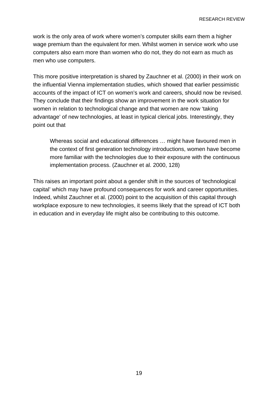RESEARCH REVIEW

work is the only area of work where women's computer skills earn them a higher wage premium than the equivalent for men. Whilst women in service work who use computers also earn more than women who do not, they do not earn as much as men who use computers.

This more positive interpretation is shared by Zauchner et al. (2000) in their work on the influential Vienna implementation studies, which showed that earlier pessimistic accounts of the impact of ICT on women's work and careers, should now be revised. They conclude that their findings show an improvement in the work situation for women in relation to technological change and that women are now 'taking advantage' of new technologies, at least in typical clerical jobs. Interestingly, they point out that

Whereas social and educational differences … might have favoured men in the context of first generation technology introductions, women have become more familiar with the technologies due to their exposure with the continuous implementation process. (Zauchner et al. 2000, 128)

This raises an important point about a gender shift in the sources of 'technological capital' which may have profound consequences for work and career opportunities. Indeed, whilst Zauchner et al. (2000) point to the acquisition of this capital through workplace exposure to new technologies, it seems likely that the spread of ICT both in education and in everyday life might also be contributing to this outcome.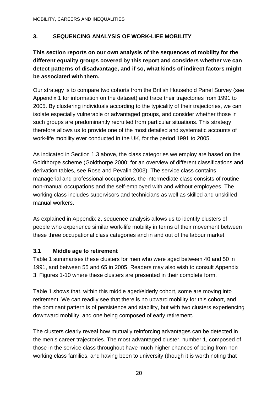## **3. SEQUENCING ANALYSIS OF WORK-LIFE MOBILITY**

**This section reports on our own analysis of the sequences of mobility for the different equality groups covered by this report and considers whether we can detect patterns of disadvantage, and if so, what kinds of indirect factors might be associated with them.**

Our strategy is to compare two cohorts from the British Household Panel Survey (see Appendix 1 for information on the dataset) and trace their trajectories from 1991 to 2005. By clustering individuals according to the typicality of their trajectories, we can isolate especially vulnerable or advantaged groups, and consider whether those in such groups are predominantly recruited from particular situations. This strategy therefore allows us to provide one of the most detailed and systematic accounts of work-life mobility ever conducted in the UK, for the period 1991 to 2005.

As indicated in Section 1.3 above, the class categories we employ are based on the Goldthorpe scheme (Goldthorpe 2000; for an overview of different classifications and derivation tables, see Rose and Pevalin 2003). The service class contains managerial and professional occupations, the intermediate class consists of routine non-manual occupations and the self-employed with and without employees. The working class includes supervisors and technicians as well as skilled and unskilled manual workers.

As explained in Appendix 2, sequence analysis allows us to identify clusters of people who experience similar work-life mobility in terms of their movement between these three occupational class categories and in and out of the labour market.

#### **3.1 Middle age to retirement**

Table 1 summarises these clusters for men who were aged between 40 and 50 in 1991, and between 55 and 65 in 2005. Readers may also wish to consult Appendix 3, Figures 1-10 where these clusters are presented in their complete form.

Table 1 shows that, within this middle aged/elderly cohort, some are moving into retirement. We can readily see that there is no upward mobility for this cohort, and the dominant pattern is of persistence and stability, but with two clusters experiencing downward mobility, and one being composed of early retirement.

The clusters clearly reveal how mutually reinforcing advantages can be detected in the men's career trajectories. The most advantaged cluster, number 1, composed of those in the service class throughout have much higher chances of being from non working class families, and having been to university (though it is worth noting that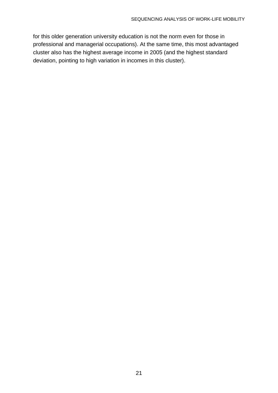for this older generation university education is not the norm even for those in professional and managerial occupations). At the same time, this most advantaged cluster also has the highest average income in 2005 (and the highest standard deviation, pointing to high variation in incomes in this cluster).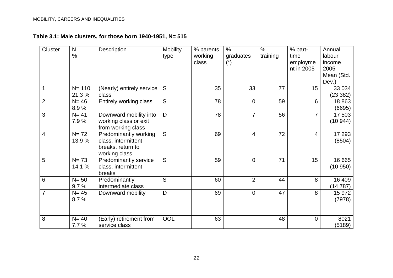## **Table 3.1: Male clusters, for those born 1940-1951, N= 515**

| Cluster        | $\mathsf{N}$<br>$\frac{0}{0}$ | Description                                                                        | <b>Mobility</b><br>type | % parents<br>working<br>class | $\frac{0}{0}$<br>graduates<br>$(\dot{\phantom{a}})$ | $\frac{0}{0}$<br>training | % part-<br>time<br>employme<br>nt in 2005 | Annual<br>labour<br>income<br>2005<br>Mean (Std.<br>Dev.) |
|----------------|-------------------------------|------------------------------------------------------------------------------------|-------------------------|-------------------------------|-----------------------------------------------------|---------------------------|-------------------------------------------|-----------------------------------------------------------|
|                | $N = 110$<br>21.3%            | (Nearly) entirely service<br>class                                                 | S                       | 35                            | 33                                                  | 77                        | 15                                        | 33 0 34<br>(23 382)                                       |
| $\overline{2}$ | $N = 46$<br>8.9%              | Entirely working class                                                             | S                       | 78                            | $\Omega$                                            | 59                        | 6                                         | 18863<br>(6695)                                           |
| 3              | $N = 41$<br>7.9%              | Downward mobility into<br>working class or exit<br>from working class              | D                       | 78                            | $\overline{7}$                                      | 56                        | $\overline{7}$                            | 17 503<br>(10944)                                         |
| 4              | $N = 72$<br>13.9 %            | Predominantly working<br>class, intermittent<br>breaks, return to<br>working class | $\overline{S}$          | 69                            | 4                                                   | 72                        | $\overline{4}$                            | 17 293<br>(8504)                                          |
| 5              | $N = 73$<br>14.1 %            | Predominantly service<br>class, intermittent<br>breaks                             | S                       | 59                            | $\Omega$                                            | 71                        | 15                                        | 16 665<br>(10950)                                         |
| 6              | $N = 50$<br>9.7%              | Predominantly<br>intermediate class                                                | S                       | 60                            | $\overline{2}$                                      | 44                        | 8                                         | 16 409<br>(14787)                                         |
| $\overline{7}$ | $N = 45$<br>8.7%              | Downward mobility                                                                  | D                       | 69                            | $\overline{0}$                                      | 47                        | 8                                         | 15 972<br>(7978)                                          |
| 8              | $N = 40$<br>7.7%              | (Early) retirement from<br>service class                                           | OOL                     | 63                            |                                                     | 48                        | $\mathbf 0$                               | 8021<br>(5189)                                            |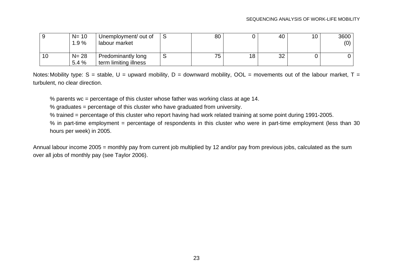|    | $N = 10$<br>1.9%  | Unemployment/ out of<br>labour market              | 80 |    | 40 | 10 | 3600<br>(0) |
|----|-------------------|----------------------------------------------------|----|----|----|----|-------------|
| 10 | $N = 28$<br>5.4 % | <b>Predominantly long</b><br>term limiting illness | 75 | 18 | 32 |    |             |

Notes: Mobility type:  $S =$  stable,  $U =$  upward mobility,  $D =$  downward mobility,  $OOL =$  movements out of the labour market,  $T =$ turbulent, no clear direction.

% parents wc = percentage of this cluster whose father was working class at age 14.

% graduates = percentage of this cluster who have graduated from university.

% trained = percentage of this cluster who report having had work related training at some point during 1991-2005.

% in part-time employment = percentage of respondents in this cluster who were in part-time employment (less than 30 hours per week) in 2005.

Annual labour income 2005 = monthly pay from current job multiplied by 12 and/or pay from previous jobs, calculated as the sum over all jobs of monthly pay (see Taylor 2006).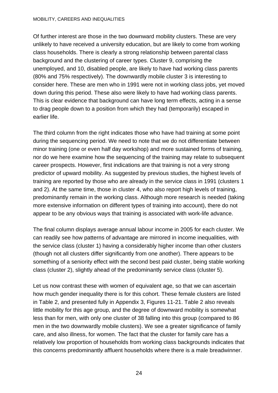#### MOBILITY, CAREERS AND INEQUALITIES

Of further interest are those in the two downward mobility clusters. These are very unlikely to have received a university education, but are likely to come from working class households. There is clearly a strong relationship between parental class background and the clustering of career types. Cluster 9, comprising the unemployed, and 10, disabled people, are likely to have had working class parents (80% and 75% respectively). The downwardly mobile cluster 3 is interesting to consider here. These are men who in 1991 were not in working class jobs, yet moved down during this period. These also were likely to have had working class parents. This is clear evidence that background can have long term effects, acting in a sense to drag people down to a position from which they had (temporarily) escaped in earlier life.

The third column from the right indicates those who have had training at some point during the sequencing period. We need to note that we do not differentiate between minor training (one or even half day workshop) and more sustained forms of training, nor do we here examine how the sequencing of the training may relate to subsequent career prospects. However, first indications are that training is not a very strong predictor of upward mobility. As suggested by previous studies, the highest levels of training are reported by those who are already in the service class in 1991 (clusters 1 and 2). At the same time, those in cluster 4, who also report high levels of training, predominantly remain in the working class. Although more research is needed (taking more extensive information on different types of training into account), there do not appear to be any obvious ways that training is associated with work-life advance.

The final column displays average annual labour income in 2005 for each cluster. We can readily see how patterns of advantage are mirrored in income inequalities, with the service class (cluster 1) having a considerably higher income than other clusters (though not all clusters differ significantly from one another). There appears to be something of a seniority effect with the second best paid cluster, being stable working class (cluster 2), slightly ahead of the predominantly service class (cluster 5).

Let us now contrast these with women of equivalent age, so that we can ascertain how much gender inequality there is for this cohort. These female clusters are listed in Table 2, and presented fully in Appendix 3, Figures 11-21. Table 2 also reveals little mobility for this age group, and the degree of downward mobility is somewhat less than for men, with only one cluster of 38 falling into this group (compared to 86 men in the two downwardly mobile clusters). We see a greater significance of family care, and also illness, for women. The fact that the cluster for family care has a relatively low proportion of households from working class backgrounds indicates that this concerns predominantly affluent households where there is a male breadwinner.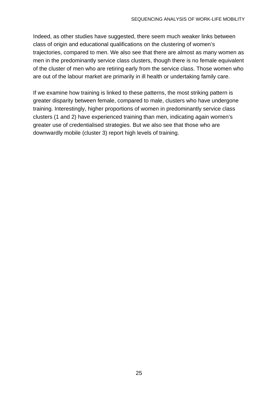Indeed, as other studies have suggested, there seem much weaker links between class of origin and educational qualifications on the clustering of women's trajectories, compared to men. We also see that there are almost as many women as men in the predominantly service class clusters, though there is no female equivalent of the cluster of men who are retiring early from the service class. Those women who are out of the labour market are primarily in ill health or undertaking family care.

If we examine how training is linked to these patterns, the most striking pattern is greater disparity between female, compared to male, clusters who have undergone training. Interestingly, higher proportions of women in predominantly service class clusters (1 and 2) have experienced training than men, indicating again women's greater use of credentialised strategies. But we also see that those who are downwardly mobile (cluster 3) report high levels of training.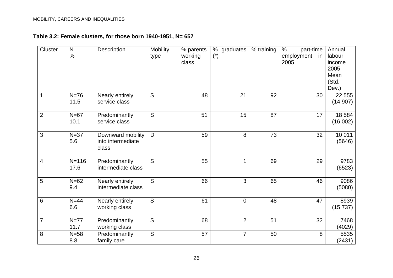## **Table 3.2: Female clusters, for those born 1940-1951, N= 657**

| Cluster                 | $\mathsf{N}$<br>$\%$ | Description                                     | <b>Mobility</b><br>type | % parents<br>working<br>class | % graduates<br>$(*)$ | % training | $\%$<br>part-time<br>employment<br>-in<br>2005 | Annual<br>labour<br>income<br>2005<br>Mean<br>(Std. |
|-------------------------|----------------------|-------------------------------------------------|-------------------------|-------------------------------|----------------------|------------|------------------------------------------------|-----------------------------------------------------|
|                         |                      |                                                 |                         |                               |                      |            |                                                | Dev.)                                               |
| 1                       | $N=76$<br>11.5       | Nearly entirely<br>service class                | S                       | 48                            | 21                   | 92         | 30                                             | 22 5 5 5<br>(14907)                                 |
| $\overline{2}$          | $N=67$<br>10.1       | Predominantly<br>service class                  | S                       | 51                            | 15                   | 87         | 17                                             | 18 5 84<br>(16002)                                  |
| 3                       | $N=37$<br>5.6        | Downward mobility<br>into intermediate<br>class | D                       | 59                            | 8                    | 73         | 32                                             | 10 011<br>(5646)                                    |
| $\overline{\mathbf{4}}$ | $N = 116$<br>17.6    | Predominantly<br>intermediate class             | S                       | 55                            | 1                    | 69         | 29                                             | 9783<br>(6523)                                      |
| 5                       | $N=62$<br>9.4        | Nearly entirely<br>intermediate class           | $\overline{S}$          | 66                            | 3                    | 65         | 46                                             | 9086<br>(5080)                                      |
| 6                       | $N=44$<br>6.6        | Nearly entirely<br>working class                | $\overline{S}$          | 61                            | $\overline{0}$       | 48         | 47                                             | 8939<br>(15 737)                                    |
| $\overline{7}$          | $N=77$<br>11.7       | Predominantly<br>working class                  | S                       | 68                            | $\overline{2}$       | 51         | 32                                             | 7468<br>(4029)                                      |
| 8                       | $N=58$<br>8.8        | Predominantly<br>family care                    | S                       | 57                            | $\overline{7}$       | 50         | 8                                              | 5535<br>(2431)                                      |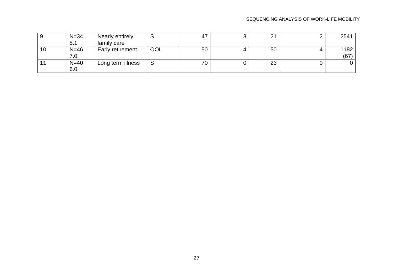#### SEQUENCING ANALYSIS OF WORK-LIFE MOBILITY

|    | $N = 34$ | Nearly entirely         |     |    | ◠<br><u>.</u> | 2541 |
|----|----------|-------------------------|-----|----|---------------|------|
|    | 5.1      | family care             |     |    |               |      |
| 10 | $N=46$   | <b>Early retirement</b> | OOL | 50 | 50            | 1182 |
|    | 7.0      |                         |     |    |               | (67) |
|    | $N=40$   | Long term illness       | ت   | 70 | 23            |      |
|    | 6.0      |                         |     |    |               |      |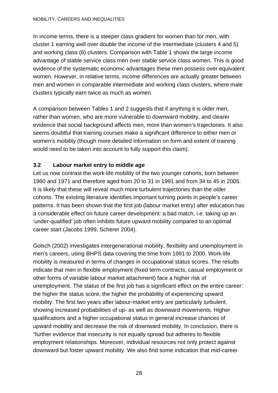In income terms, there is a steeper class gradient for women than for men, with cluster 1 earning well over double the income of the intermediate (clusters 4 and 5) and working class (6) clusters. Comparison with Table 1 shows the large income advantage of stable service class men over stable service class women. This is good evidence of the systematic economic advantages these men possess over equivalent women. However, in relative terms, income differences are actually greater between men and women in comparable intermediate and working class clusters, where male clusters typically earn twice as much as women.

A comparison between Tables 1 and 2 suggests that if anything it is older men, rather than women, who are more vulnerable to downward mobility, and clearer evidence that social background affects men, more than women's trajectories. It also seems doubtful that training courses make a significant difference to either men or women's mobility (though more detailed information on form and extent of training would need to be taken into account to fully support this claim).

# **3.2 Labour market entry to middle age**

Let us now contrast the work-life mobility of the two younger cohorts, born between 1960 and 1971 and therefore aged from 20 to 31 in 1991 and from 34 to 45 in 2005. It is likely that these will reveal much more turbulent trajectories than the older cohorts. The existing literature identifies important turning points in people's career patterns. It has been shown that the first job (labour market entry) after education has a considerable effect on future career development: a bad match, i.e. taking up an 'under-qualified' job often inhibits future upward mobility compared to an optimal career start (Jacobs 1999, Scherer 2004).

Golsch (2002) investigates intergenerational mobility, flexibility and unemployment in men's careers, using BHPS data covering the time from 1991 to 2000. Work-life mobility is measured in terms of changes in occupational status scores. The results indicate that men in flexible employment (fixed term contracts, casual employment or other forms of variable labour market attachment) face a higher risk of unemployment. The status of the first job has a significant effect on the entire career: the higher the status score, the higher the probability of experiencing upward mobility. The first two years after labour-market entry are particularly turbulent, showing increased probabilities of up- as well as downward movements. Higher qualifications and a higher occupational status in general increase chances of upward mobility and decrease the risk of downward mobility. In conclusion, there is "further evidence that insecurity is not equally spread but adheres to flexible employment relationships. Moreover, individual resources not only protect against downward but foster upward mobility. We also find some indication that mid-career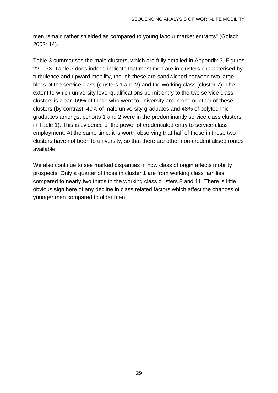men remain rather shielded as compared to young labour market entrants" (Golsch 2002: 14).

Table 3 summarises the male clusters, which are fully detailed in Appendix 3, Figures 22 – 33. Table 3 does indeed indicate that most men are in clusters characterised by turbulence and upward mobility, though these are sandwiched between two large blocs of the service class (clusters 1 and 2) and the working class (cluster 7). The extent to which university level qualifications permit entry to the two service class clusters is clear. 69% of those who went to university are in one or other of these clusters (by contrast, 40% of male university graduates and 48% of polytechnic graduates amongst cohorts 1 and 2 were in the predominantly service class clusters in Table 1). This is evidence of the power of credentialed entry to service-class employment. At the same time, it is worth observing that half of those in these two clusters have not been to university, so that there are other non-credentialised routes available.

We also continue to see marked disparities in how class of origin affects mobility prospects. Only a quarter of those in cluster 1 are from working class families, compared to nearly two thirds in the working class clusters 8 and 11. There is little obvious sign here of any decline in class related factors which affect the chances of younger men compared to older men.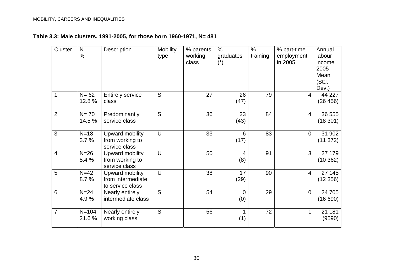# **Table 3.3: Male clusters, 1991-2005, for those born 1960-1971, N= 481**

| Cluster        | $\mathsf{N}$<br>$\frac{0}{0}$ | Description                                              | <b>Mobility</b><br>type | % parents<br>working<br>class | $\frac{0}{0}$<br>graduates<br>$(*)$ | $\%$<br>training | % part-time<br>employment<br>in 2005 | Annual<br>labour<br>income<br>2005<br>Mean<br>(Std.<br>Dev.) |
|----------------|-------------------------------|----------------------------------------------------------|-------------------------|-------------------------------|-------------------------------------|------------------|--------------------------------------|--------------------------------------------------------------|
| $\mathbf{1}$   | $N = 62$<br>12.8%             | <b>Entirely service</b><br>class                         | S                       | 27                            | 26<br>(47)                          | 79               | $\overline{4}$                       | 44 227<br>(26 456)                                           |
| $\overline{2}$ | $N = 70$<br>14.5 %            | Predominantly<br>service class                           | S                       | 36                            | 23<br>(43)                          | 84               | $\overline{4}$                       | 36 555<br>(18301)                                            |
| 3              | $N=18$<br>3.7%                | Upward mobility<br>from working to<br>service class      | U                       | 33                            | $6\phantom{1}6$<br>(17)             | 83               | $\mathbf 0$                          | 31 902<br>(11 372)                                           |
| $\overline{4}$ | $N=26$<br>5.4 %               | Upward mobility<br>from working to<br>service class      | U                       | 50                            | 4<br>(8)                            | 91               | 3                                    | 27 179<br>(10362)                                            |
| 5              | $N=42$<br>8.7%                | Upward mobility<br>from intermediate<br>to service class | U                       | 38                            | 17<br>(29)                          | 90               | $\overline{4}$                       | 27 145<br>(12356)                                            |
| 6              | $N=24$<br>4.9%                | Nearly entirely<br>intermediate class                    | S                       | 54                            | 0<br>(0)                            | 29               | $\overline{0}$                       | 24 705<br>(16690)                                            |
| $\overline{7}$ | $N = 104$<br>21.6%            | Nearly entirely<br>working class                         | S                       | 56                            | (1)                                 | 72               | $\mathbf{1}$                         | 21 181<br>(9590)                                             |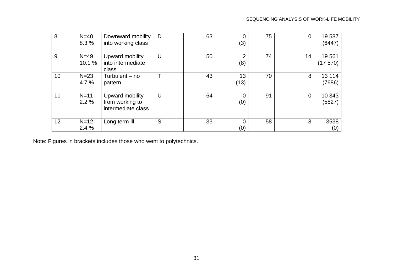| 8  | $N=40$<br>8.3%   | Downward mobility<br>into working class                  | D | 63 | 0<br>(3)              | 75 | 0              | 19587<br>(6447)   |
|----|------------------|----------------------------------------------------------|---|----|-----------------------|----|----------------|-------------------|
| 9  | $N=49$<br>10.1 % | Upward mobility<br>into intermediate<br>class            | U | 50 | っ<br>(8)              | 74 | 14             | 19561<br>(17570)  |
| 10 | $N=23$<br>4.7 %  | Turbulent $-$ no<br>pattern                              |   | 43 | 13<br>(13)            | 70 | 8              | 13 1 14<br>(7686) |
| 11 | $N=11$<br>2.2%   | Upward mobility<br>from working to<br>intermediate class | U | 64 | $\overline{0}$<br>(0) | 91 | $\overline{0}$ | 10 343<br>(5827)  |
| 12 | $N=12$<br>2.4%   | Long term ill                                            | S | 33 | 0<br>(0)              | 58 | 8              | 3538<br>(0)       |

Note: Figures in brackets includes those who went to polytechnics.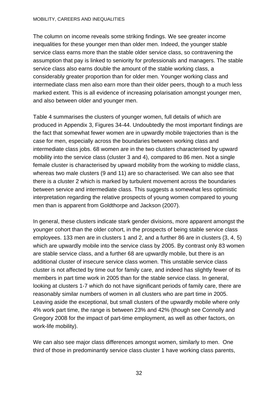#### MOBILITY, CAREERS AND INEQUALITIES

The column on income reveals some striking findings. We see greater income inequalities for these younger men than older men. Indeed, the younger stable service class earns more than the stable older service class, so contravening the assumption that pay is linked to seniority for professionals and managers. The stable service class also earns double the amount of the stable working class, a considerably greater proportion than for older men. Younger working class and intermediate class men also earn more than their older peers, though to a much less marked extent. This is all evidence of increasing polarisation amongst younger men, and also between older and younger men.

Table 4 summarises the clusters of younger women, full details of which are produced in Appendix 3, Figures 34-44. Undoubtedly the most important findings are the fact that somewhat fewer women are in upwardly mobile trajectories than is the case for men, especially across the boundaries between working class and intermediate class jobs. 68 women are in the two clusters characterised by upward mobility into the service class (cluster 3 and 4), compared to 86 men. Not a single female cluster is characterised by upward mobility from the working to middle class, whereas two male clusters (9 and 11) are so characterised. We can also see that there is a cluster 2 which is marked by turbulent movement across the boundaries between service and intermediate class. This suggests a somewhat less optimistic interpretation regarding the relative prospects of young women compared to young men than is apparent from Goldthorpe and Jackson (2007).

In general, these clusters indicate stark gender divisions, more apparent amongst the younger cohort than the older cohort, in the prospects of being stable service class employees. 133 men are in clusters 1 and 2, and a further 86 are in clusters (3, 4, 5) which are upwardly mobile into the service class by 2005. By contrast only 83 women are stable service class, and a further 68 are upwardly mobile, but there is an additional cluster of insecure service class women. This unstable service class cluster is not affected by time out for family care, and indeed has slightly fewer of its members in part time work in 2005 than for the stable service class. In general, looking at clusters 1-7 which do not have significant periods of family care, there are reasonably similar numbers of women in all clusters who are part time in 2005. Leaving aside the exceptional, but small clusters of the upwardly mobile where only 4% work part time, the range is between 23% and 42% (though see Connolly and Gregory 2008 for the impact of part-time employment, as well as other factors, on work-life mobility).

We can also see major class differences amongst women, similarly to men. One third of those in predominantly service class cluster 1 have working class parents,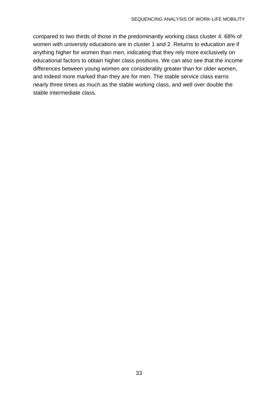compared to two thirds of those in the predominantly working class cluster 4. 68% of women with university educations are in cluster 1 and 2. Returns to education are if anything higher for women than men, indicating that they rely more exclusively on educational factors to obtain higher class positions. We can also see that the income differences between young women are considerably greater than for older women, and indeed more marked than they are for men. The stable service class earns nearly three times as much as the stable working class, and well over double the stable intermediate class.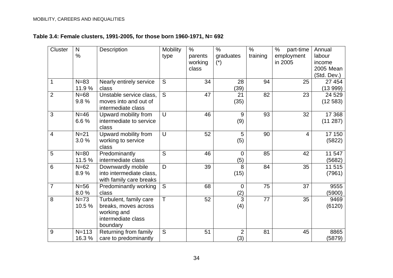# **Table 3.4: Female clusters, 1991-2005, for those born 1960-1971, N= 692**

| <b>Cluster</b>  | N             | Description              | <b>Mobility</b> | $\%$    | $\frac{0}{0}$  | $\frac{0}{0}$ | $\%$<br>part-time | Annual      |
|-----------------|---------------|--------------------------|-----------------|---------|----------------|---------------|-------------------|-------------|
|                 | $\frac{0}{0}$ |                          | type            | parents | graduates      | training      | employment        | labour      |
|                 |               |                          |                 | working | $(*)$          |               | in 2005           | income      |
|                 |               |                          |                 | class   |                |               |                   | 2005 Mean   |
|                 |               |                          |                 |         |                |               |                   | (Std. Dev.) |
| $\mathbf{1}$    | $N=83$        | Nearly entirely service  | S               | 34      | 28             | 94            | 25                | 27 454      |
|                 | 11.9 %        | class                    |                 |         | (39)           |               |                   | (13999)     |
| $\overline{2}$  | $N=68$        | Unstable service class,  | S               | 47      | 21             | 82            | 23                | 24 5 29     |
|                 | 9.8%          | moves into and out of    |                 |         | (35)           |               |                   | (12583)     |
|                 |               | intermediate class       |                 |         |                |               |                   |             |
| 3               | $N=46$        | Upward mobility from     | $\cup$          | 46      | 9              | 93            | 32                | 17 368      |
|                 | 6.6%          | intermediate to service  |                 |         | (9)            |               |                   | (11 287)    |
|                 |               | class                    |                 |         |                |               |                   |             |
| $\overline{4}$  | $N=21$        | Upward mobility from     | U               | 52      | 5              | 90            | 4                 | 17 150      |
|                 | 3.0%          | working to service       |                 |         | (5)            |               |                   | (5822)      |
|                 |               | class                    |                 |         |                |               |                   |             |
| 5               | $N=80$        | Predominantly            | $\overline{S}$  | 46      | $\overline{0}$ | 85            | 42                | 11 547      |
|                 | 11.5 %        | intermediate class       |                 |         | (5)            |               |                   | (5682)      |
| $6\phantom{1}6$ | $N=62$        | Downwardly mobile        | D               | 39      | 8              | 84            | 35                | 11 515      |
|                 | 8.9%          | into intermediate class, |                 |         | (15)           |               |                   | (7961)      |
|                 |               | with family care breaks  |                 |         |                |               |                   |             |
| $\overline{7}$  | $N=56$        | Predominantly working    | S               | 68      | $\mathbf 0$    | 75            | 37                | 9555        |
|                 | 8.0%          | class                    |                 |         | (2)            |               |                   | (5900)      |
| 8               | $N=73$        | Turbulent, family care   | T               | 52      | 3              | 77            | 35                | 9469        |
|                 | 10.5%         | breaks, moves across     |                 |         | (4)            |               |                   | (6120)      |
|                 |               | working and              |                 |         |                |               |                   |             |
|                 |               | intermediate class       |                 |         |                |               |                   |             |
|                 |               | boundary                 |                 |         |                |               |                   |             |
| 9               | $N = 113$     | Returning from family    | S               | 51      | $\overline{2}$ | 81            | 45                | 8865        |
|                 | 16.3%         | care to predominantly    |                 |         | (3)            |               |                   | (5879)      |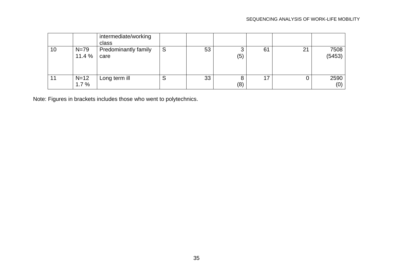|    |                  | intermediate/working<br>class       |   |    |          |    |                |                |
|----|------------------|-------------------------------------|---|----|----------|----|----------------|----------------|
| 10 | $N=79$<br>11.4 % | <b>Predominantly family</b><br>care | S | 53 | ت<br>(5) | 61 | 2 <sup>1</sup> | 7508<br>(5453) |
| 11 | $N=12$<br>1.7%   | Long term ill                       | ບ | 33 | (8)      |    |                | 2590<br>(0)    |

Note: Figures in brackets includes those who went to polytechnics.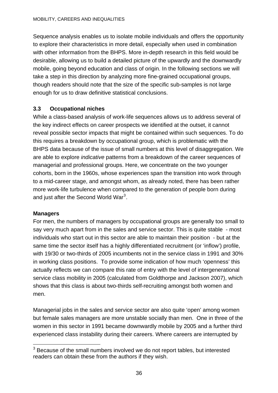<span id="page-44-0"></span>Sequence analysis enables us to isolate mobile individuals and offers the opportunity to explore their characteristics in more detail, especially when used in combination with other information from the BHPS. More in-depth research in this field would be desirable, allowing us to build a detailed picture of the upwardly and the downwardly mobile, going beyond education and class of origin. In the following sections we will take a step in this direction by analyzing more fine-grained occupational groups, though readers should note that the size of the specific sub-samples is not large enough for us to draw definitive statistical conclusions.

### **3.3 Occupational niches**

While a class-based analysis of work-life sequences allows us to address several of the key indirect effects on career prospects we identified at the outset, it cannot reveal possible sector impacts that might be contained within such sequences. To do this requires a breakdown by occupational group, which is problematic with the BHPS data because of the issue of small numbers at this level of disaggregation. We are able to explore *indicative* patterns from a breakdown of the career sequences of managerial and professional groups. Here, we concentrate on the two younger cohorts, born in the 1960s, whose experiences span the transition into work through to a mid-career stage, and amongst whom, as already noted, there has been rather more work-life turbulence when compared to the generation of people born during and just after the Second World War $3$ .

#### **Managers**

For men, the numbers of managers by occupational groups are generally too small to say very much apart from in the sales and service sector. This is quite stable - most individuals who start out in this sector are able to maintain their position - but at the same time the sector itself has a highly differentiated recruitment (or 'inflow') profile, with 19/30 or two-thirds of 2005 incumbents not in the service class in 1991 and 30% in working class positions. To provide some indication of how much 'openness' this actually reflects we can compare this rate of entry with the level of intergenerational service class mobility in 2005 (calculated from Goldthorpe and Jackson 2007), which shows that this class is about two-thirds self-recruiting amongst both women and men.

Managerial jobs in the sales and service sector are also quite 'open' among women but female sales managers are more unstable socially than men. One in three of the women in this sector in 1991 became downwardly mobile by 2005 and a further third experienced class instability during their careers. Where careers are interrupted by

<sup>1</sup>  $3$  Because of the small numbers involved we do not report tables, but interested readers can obtain these from the authors if they wish.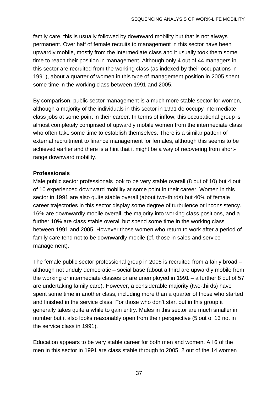family care, this is usually followed by downward mobility but that is not always permanent. Over half of female recruits to management in this sector have been upwardly mobile, mostly from the intermediate class and it usually took them some time to reach their position in management. Although only 4 out of 44 managers in this sector are recruited from the working class (as indexed by their occupations in 1991), about a quarter of women in this type of management position in 2005 spent some time in the working class between 1991 and 2005.

By comparison, public sector management is a much more stable sector for women, although a majority of the individuals in this sector in 1991 do occupy intermediate class jobs at some point in their career. In terms of inflow, this occupational group is almost completely comprised of upwardly mobile women from the intermediate class who often take some time to establish themselves. There is a similar pattern of external recruitment to finance management for females, although this seems to be achieved earlier and there is a hint that it might be a way of recovering from shortrange downward mobility.

#### **Professionals**

Male public sector professionals look to be very stable overall (8 out of 10) but 4 out of 10 experienced downward mobility at some point in their career. Women in this sector in 1991 are also quite stable overall (about two-thirds) but 40% of female career trajectories in this sector display some degree of turbulence or inconsistency. 16% are downwardly mobile overall, the majority into working class positions, and a further 10% are class stable overall but spend some time in the working class between 1991 and 2005. However those women who return to work after a period of family care tend not to be downwardly mobile (cf. those in sales and service management).

The female public sector professional group in 2005 is recruited from a fairly broad – although not unduly democratic – social base (about a third are upwardly mobile from the working or intermediate classes or are unemployed in 1991 – a further 8 out of 57 are undertaking family care). However, a considerable majority (two-thirds) have spent some time in another class, including more than a quarter of those who started and finished in the service class. For those who don't start out in this group it generally takes quite a while to gain entry. Males in this sector are much smaller in number but it also looks reasonably open from their perspective (5 out of 13 not in the service class in 1991).

Education appears to be very stable career for both men and women. All 6 of the men in this sector in 1991 are class stable through to 2005. 2 out of the 14 women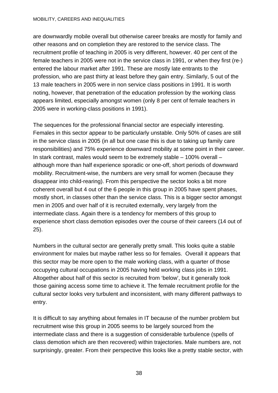#### MOBILITY, CAREERS AND INEQUALITIES

are downwardly mobile overall but otherwise career breaks are mostly for family and other reasons and on completion they are restored to the service class. The recruitment profile of teaching in 2005 is very different, however. 40 per cent of the female teachers in 2005 were not in the service class in 1991, or when they first (re-) entered the labour market after 1991. These are mostly late entrants to the profession, who are past thirty at least before they gain entry. Similarly, 5 out of the 13 male teachers in 2005 were in non service class positions in 1991. It is worth noting, however, that penetration of the education profession by the working class appears limited, especially amongst women (only 8 per cent of female teachers in 2005 were in working-class positions in 1991).

The sequences for the professional financial sector are especially interesting. Females in this sector appear to be particularly unstable. Only 50% of cases are still in the service class in 2005 (in all but one case this is due to taking up family care responsibilities) and 75% experience downward mobility at some point in their career. In stark contrast, males would seem to be extremely stable – 100% overall – although more than half experience sporadic or one-off, short periods of downward mobility. Recruitment-wise, the numbers are very small for women (because they disappear into child-rearing). From this perspective the sector looks a bit more coherent overall but 4 out of the 6 people in this group in 2005 have spent phases, mostly short, in classes other than the service class. This is a bigger sector amongst men in 2005 and over half of it is recruited externally, very largely from the intermediate class. Again there is a tendency for members of this group to experience short class demotion episodes over the course of their careers (14 out of 25).

Numbers in the cultural sector are generally pretty small. This looks quite a stable environment for males but maybe rather less so for females. Overall it appears that this sector may be more open to the male working class, with a quarter of those occupying cultural occupations in 2005 having held working class jobs in 1991. Altogether about half of this sector is recruited from 'below', but it generally took those gaining access some time to achieve it. The female recruitment profile for the cultural sector looks very turbulent and inconsistent, with many different pathways to entry.

It is difficult to say anything about females in IT because of the number problem but recruitment wise this group in 2005 seems to be largely sourced from the intermediate class and there is a suggestion of considerable turbulence (spells of class demotion which are then recovered) within trajectories. Male numbers are, not surprisingly, greater. From their perspective this looks like a pretty stable sector, with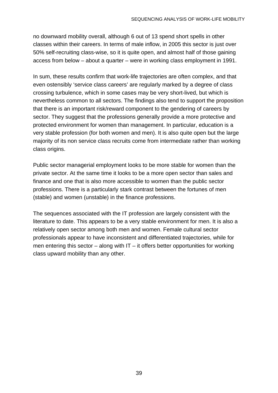no downward mobility overall, although 6 out of 13 spend short spells in other classes within their careers. In terms of male inflow, in 2005 this sector is just over 50% self-recruiting class-wise, so it is quite open, and almost half of those gaining access from below – about a quarter – were in working class employment in 1991.

In sum, these results confirm that work-life trajectories are often complex, and that even ostensibly 'service class careers' are regularly marked by a degree of class crossing turbulence, which in some cases may be very short-lived, but which is nevertheless common to all sectors. The findings also tend to support the proposition that there is an important risk/reward component to the gendering of careers by sector. They suggest that the professions generally provide a more protective and protected environment for women than management. In particular, education is a very stable profession (for both women and men). It is also quite open but the large majority of its non service class recruits come from intermediate rather than working class origins.

Public sector managerial employment looks to be more stable for women than the private sector. At the same time it looks to be a more open sector than sales and finance and one that is also more accessible to women than the public sector professions. There is a particularly stark contrast between the fortunes of men (stable) and women (unstable) in the finance professions.

The sequences associated with the IT profession are largely consistent with the literature to date. This appears to be a very stable environment for men. It is also a relatively open sector among both men and women. Female cultural sector professionals appear to have inconsistent and differentiated trajectories, while for men entering this sector – along with  $IT - it$  offers better opportunities for working class upward mobility than any other.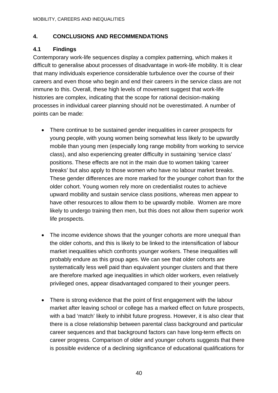## **4. CONCLUSIONS AND RECOMMENDATIONS**

## **4.1 Findings**

Contemporary work-life sequences display a complex patterning, which makes it difficult to generalise about processes of disadvantage in work-life mobility. It is clear that many individuals experience considerable turbulence over the course of their careers and even those who begin and end their careers in the service class are not immune to this. Overall, these high levels of movement suggest that work-life histories are complex, indicating that the scope for rational decision-making processes in individual career planning should not be overestimated. A number of points can be made:

- There continue to be sustained gender inequalities in career prospects for young people, with young women being somewhat less likely to be upwardly mobile than young men (especially long range mobility from working to service class), and also experiencing greater difficulty in sustaining 'service class' positions. These effects are not in the main due to women taking 'career breaks' but also apply to those women who have no labour market breaks. These gender differences are more marked for the younger cohort than for the older cohort. Young women rely more on credentialist routes to achieve upward mobility and sustain service class positions, whereas men appear to have other resources to allow them to be upwardly mobile. Women are more likely to undergo training then men, but this does not allow them superior work life prospects.
- The income evidence shows that the younger cohorts are more unequal than the older cohorts, and this is likely to be linked to the intensification of labour market inequalities which confronts younger workers. These inequalities will probably endure as this group ages. We can see that older cohorts are systematically less well paid than equivalent younger clusters and that there are therefore marked age inequalities in which older workers, even relatively privileged ones, appear disadvantaged compared to their younger peers.
- There is strong evidence that the point of first engagement with the labour market after leaving school or college has a marked effect on future prospects, with a bad 'match' likely to inhibit future progress. However, it is also clear that there is a close relationship between parental class background and particular career sequences and that background factors can have long-term effects on career progress. Comparison of older and younger cohorts suggests that there is possible evidence of a declining significance of educational qualifications for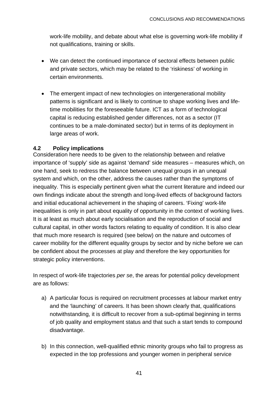work-life mobility, and debate about what else is governing work-life mobility if not qualifications, training or skills.

- We can detect the continued importance of sectoral effects between public and private sectors, which may be related to the 'riskiness' of working in certain environments.
- The emergent impact of new technologies on intergenerational mobility patterns is significant and is likely to continue to shape working lives and lifetime mobilities for the foreseeable future. ICT as a form of technological capital is reducing established gender differences, not as a sector (IT continues to be a male-dominated sector) but in terms of its deployment in large areas of work.

# **4.2 Policy implications**

Consideration here needs to be given to the relationship between and relative importance of 'supply' side as against 'demand' side measures – measures which, on one hand, seek to redress the balance between unequal groups in an unequal system and which, on the other, address the causes rather than the symptoms of inequality. This is especially pertinent given what the current literature and indeed our own findings indicate about the strength and long-lived effects of background factors and initial educational achievement in the shaping of careers. 'Fixing' work-life inequalities is only in part about equality of opportunity in the context of working lives. It is at least as much about early socialisation and the reproduction of social and cultural capital, in other words factors relating to equality of condition. It is also clear that much more research is required (see below) on the nature and outcomes of career mobility for the different equality groups by sector and by niche before we can be confident about the processes at play and therefore the key opportunities for strategic policy interventions.

In respect of work-life trajectories *per se*, the areas for potential policy development are as follows:

- a) A particular focus is required on recruitment processes at labour market entry and the 'launching' of careers. It has been shown clearly that, qualifications notwithstanding, it is difficult to recover from a sub-optimal beginning in terms of job quality and employment status and that such a start tends to compound disadvantage.
- b) In this connection, well-qualified ethnic minority groups who fail to progress as expected in the top professions and younger women in peripheral service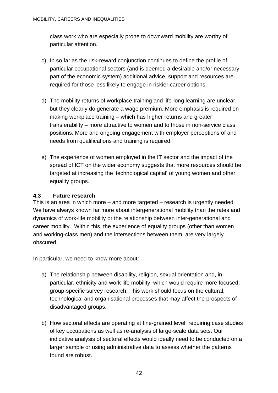class work who are especially prone to downward mobility are worthy of particular attention.

- c) In so far as the risk-reward conjunction continues to define the profile of particular occupational sectors (and is deemed a desirable and/or necessary part of the economic system) additional advice, support and resources are required for those less likely to engage in riskier career options.
- d) The mobility returns of workplace training and life-long learning are unclear, but they clearly do generate a wage premium. More emphasis is required on making workplace training – which has higher returns and greater transferability – more attractive to women and to those in non-service class positions. More and ongoing engagement with employer perceptions of and needs from qualifications and training is required.
- e) The experience of women employed in the IT sector and the impact of the spread of ICT on the wider economy suggests that more resources should be targeted at increasing the 'technological capital' of young women and other equality groups.

## **4.3 Future research**

This is an area in which more – and more targeted – research is urgently needed. We have always known far more about intergenerational mobility than the rates and dynamics of work-life mobility or the relationship between inter-generational and career mobility. Within this, the experience of equality groups (other than women and working-class men) and the intersections between them, are very largely obscured.

In particular, we need to know more about:

- a) The relationship between disability, religion, sexual orientation and, in particular, ethnicity and work life mobility, which would require more focused, group-specific survey research. This work should focus on the cultural, technological and organisational processes that may affect the prospects of disadvantaged groups.
- b) How sectoral effects are operating at fine-grained level, requiring case studies of key occupations as well as re-analysis of large-scale data sets. Our indicative analysis of sectoral effects would ideally need to be conducted on a larger sample or using administrative data to assess whether the patterns found are robust.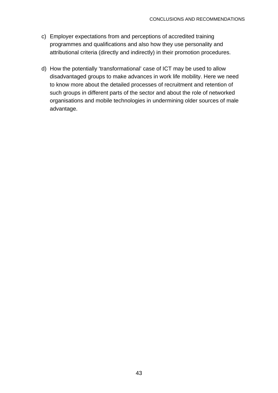- c) Employer expectations from and perceptions of accredited training programmes and qualifications and also how they use personality and attributional criteria (directly and indirectly) in their promotion procedures.
- d) How the potentially 'transformational' case of ICT may be used to allow disadvantaged groups to make advances in work life mobility. Here we need to know more about the detailed processes of recruitment and retention of such groups in different parts of the sector and about the role of networked organisations and mobile technologies in undermining older sources of male advantage.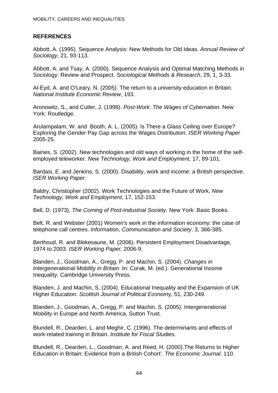### **REFERENCES**

Abbott, A. (1995). Sequence Analysis: New Methods for Old Ideas. *Annual Review of Sociology*, 21, 93-113.

Abbott, A. and Tsay, A. (2000). Sequence Analysis and Optimal Matching Methods in Sociology: Review and Prospect. *Sociological Methods & Research*, 29, 1, 3-33.

Al-Eyd, A. and O'Leary, N. (2005). The return to a university education in Britain. *National Institute Economic Review*, 193.

Aronowitz, S., and Cutler, J. (1998). *Post-Work: The Wages of Cybernation*. New York: Routledge.

Arulampalam, W. and Booth, A. L. (2005). Is There a Glass Ceiling over Europe? Exploring the Gender Pay Gap across the Wages Distribution. *ISER Working Paper* 2005-25.

Baines, S. (2002). New technologies and old ways of working in the home of the selfemployed teleworker. *New Technology, Work and Employment,* 17, 89-101.

Bardasi, E. and Jenkins, S. (2000). Disability, work and income: a British perspective. *ISER Working Paper*.

Baldry, Christopher (2002). Work Technologies and the Future of Work. *New Technology, Work and Employment*, 17, 152-153.

Bell, D. (1973). *The Coming of Post-Industrial Society*. New York: Basic Books.

Belt, R. and Webster (2001) Women's work in the information economy: the case of telephone call centres. *Information, Communication and Society*. 3, 366-385.

Berthoud, R. and Blekesaune, M. (2006). Persistent Employment Disadvantage, 1974 to 2003. *ISER Working Paper,* 2006-9.

Blanden, J., Goodman, A., Gregg, P. and Machin, S. (2004). *Changes in Intergenerational Mobility in Britain*. In: Corak, M. (ed.). Generational Income Inequality. Cambridge University Press.

Blanden, J. and Machin, S. (2004). Educational Inequality and the Expansion of UK Higher Education. *Scottish Journal of Political Econom*y, 51, 230-249.

Blanden, J., Goodman, A., Gregg, P. and Machin, S. (2005). Intergenerational Mobility in Europe and North America. Sutton Trust.

Blundell, R., Dearden, L. and Meghir, C. (1996). The determinants and effects of work-related training in Britain. *Institute for Fiscal Studies.*

Blundell, R., Dearden, L., Goodman, A. and Reed, H. (2000).The Returns to Higher Education in Britain: Evidence from a British Cohort'. *The Economic Journal*. 110.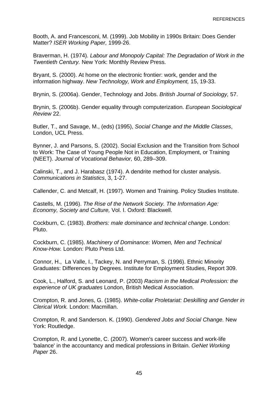Booth, A. and Francesconi, M. (1999). Job Mobility in 1990s Britain: Does Gender Matter? *ISER Working Paper,* 1999-26.

Braverman, H. (1974). *Labour and Monopoly Capital: The Degradation of Work in the Twentieth Century.* New York: Monthly Review Press.

Bryant, S. (2000). At home on the electronic frontier: work, gender and the information highway. *New Technology, Work and Employment,* 15, 19-33.

Brynin, S. (2006a). Gender, Technology and Jobs. *British Journal of Sociology,* 57.

Brynin, S. (2006b). Gender equality through computerization. *European Sociological Review* 22.

Butler, T., and Savage, M., (eds) (1995), *Social Change and the Middle Classes*, London, UCL Press.

Bynner, J. and Parsons, S. (2002). Social Exclusion and the Transition from School to Work: The Case of Young People Not in Education, Employment, or Training (NEET). *Journal of Vocational Behavior,* 60, 289–309.

Calinski, T., and J. Harabasz (1974). A dendrite method for cluster analysis. *Communications in Statistics*, 3, 1-27.

Callender, C. and Metcalf, H. (1997). Women and Training. Policy Studies Institute.

Castells, M. (1996). *The Rise of the Network Society. The Information Age: Economy, Society and Culture,* Vol. I. Oxford: Blackwell.

Cockburn, C. (1983). *Brothers: male dominance and technical change*. London: Pluto.

Cockburn, C. (1985). *Machinery of Dominance: Women, Men and Technical Know-How.* London: Pluto Press Ltd.

Connor, H., La Valle, I., Tackey, N. and Perryman, S. (1996). Ethnic Minority Graduates: Differences by Degrees. Institute for Employment Studies, Report 309.

Cook, L., Halford, S. and Leonard, P. (2003) *Racism in the Medical Profession: the experience of UK graduates* London, British Medical Association.

Crompton, R. and Jones, G. (1985). *White-collar Proletariat: Deskilling and Gender in Clerical Work.* London: Macmillan.

Crompton, R. and Sanderson. K. (1990). *Gendered Jobs and Social Change.* New York: Routledge.

Crompton, R. and Lyonette, C. (2007). Women's career success and work-life 'balance' in the accountancy and medical professions in Britain. *GeNet Working Paper* 26.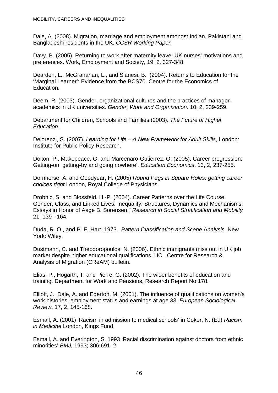Dale, A. (2008). Migration, marriage and employment amongst Indian, Pakistani and Bangladeshi residents in the UK. *CCSR Working Paper.*

Davy, B. (2005). Returning to work after maternity leave: UK nurses' motivations and preferences. Work, Employment and Society, 19, 2, 327-348.

Dearden, L., McGranahan, L., and Sianesi, B. (2004). Returns to Education for the 'Marginal Learner': Evidence from the BCS70. Centre for the Economics of Education.

Deem, R. (2003). Gender, organizational cultures and the practices of manageracademics in UK universities. *Gender, Work and Organization*. 10, 2, 239-259.

Department for Children, Schools and Families (2003). *The Future of Higher Education*.

Delorenzi, S. (2007). *Learning for Life – A New Framework for Adult Skills*, London: Institute for Public Policy Research.

Dolton, P., Makepeace, G. and Marcenaro-Gutierrez, O. (2005). Career progression: Getting-on, getting-by and going nowhere', *Education Economics*, 13, 2, 237-255.

Dornhorse, A. and Goodyear, H. (2005) *Round Pegs in Square Holes: getting career choices right* London, Royal College of Physicians.

Drobnic, S. and Blossfeld. H.-P. (2004). Career Patterns over the Life Course: Gender, Class, and Linked Lives. Inequality: Structures, Dynamics and Mechanisms: Essays in Honor of Aage B. Sorensen." *Research in Social Stratification and Mobility*  21, 139 - 164.

Duda, R. O., and P. E. Hart. 1973. *Pattern Classification and Scene* A*nalysis*. New York: Wiley.

Dustmann, C. and Theodoropoulos, N. (2006). Ethnic immigrants miss out in UK job market despite higher educational qualifications. UCL Centre for Research & Analysis of Migration (CReAM) bulletin.

Elias, P., Hogarth, T. and Pierre, G. (2002). The wider benefits of education and training. Department for Work and Pensions, Research Report No 178.

Elliott, J., Dale, A. and Egerton, M. (2001). The influence of qualifications on women's work histories, employment status and earnings at age 33*. European Sociological Review*, 17, 2, 145-168.

Esmail, A. (2001) 'Racism in admission to medical schools' in Coker, N. (Ed) *Racism in Medicine* London, Kings Fund.

Esmail, A. and Everington, S. 1993 'Racial discrimination against doctors from ethnic minorities' *BMJ,* 1993; 306:691–2.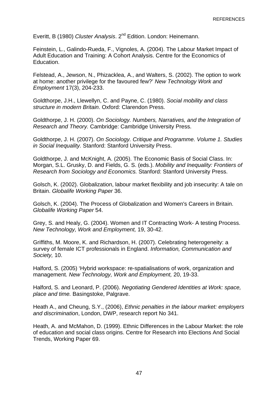Everitt, B (1980) *Cluster Analysis*. 2<sup>nd</sup> Edition. London: Heinemann.

Feinstein, L., Galindo-Rueda, F., Vignoles, A. (2004). The Labour Market Impact of Adult Education and Training: A Cohort Analysis. Centre for the Economics of Education.

Felstead, A., Jewson, N., Phizacklea, A., and Walters, S. (2002). The option to work at home: another privilege for the favoured few?' *New Technology Work and Employment* 17(3), 204-233.

Goldthorpe, J.H., Llewellyn, C. and Payne, C. (1980). *Social mobility and class structure in modern Britain*. Oxford: Clarendon Press.

Goldthorpe, J. H. (2000). *On Sociology. Numbers, Narratives, and the Integration of Research and Theory.* Cambridge: Cambridge University Press.

Goldthorpe, J. H. (2007). *On Sociology. Critique and Programme. Volume 1. Studies in Social Inequality.* Stanford: Stanford University Press.

Goldthorpe, J. and McKnight, A. (2005). The Economic Basis of Social Class. In: Morgan, S.L. Grusky, D. and Fields, G. S. (eds.). *Mobility and Inequality: Frontiers of Research from Sociology and Economics.* Stanford: Stanford University Press.

Golsch, K. (2002). Globalization, labour market flexibility and job insecurity: A tale on Britain. *Globalife Working Paper* 36.

Golsch, K. (2004). The Process of Globalization and Women's Careers in Britain. *Globalife Working Paper* 54.

Grey, S. and Healy, G. (2004). Women and IT Contracting Work- A testing Process. *New Technology, Work and Employment,* 19, 30-42.

Griffiths, M. Moore, K. and Richardson, H. (2007). Celebrating heterogeneity: a survey of female ICT professionals in England. *Information, Communication and Society,* 10.

Halford, S. (2005) 'Hybrid workspace: re-spatialisations of work, organization and management. *New Technology, Work and Employment,* 20, 19-33.

Halford, S. and Leonard, P. (2006). *Negotiating Gendered Identities at Work: space, place and time.* Basingstoke, Palgrave.

Heath A., and Cheung, S.Y., (2006), *Ethnic penalties in the labour market: employers and discrimination*, London, DWP, research report No 341.

Heath, A. and McMahon, D. (1999). Ethnic Differences in the Labour Market: the role of education and social class origins. Centre for Research into Elections And Social Trends, Working Paper 69.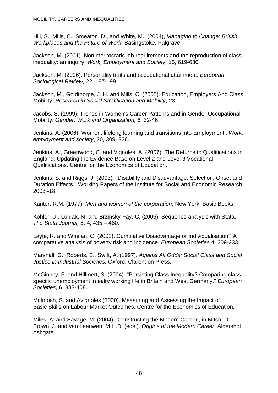Hill, S., Mills, C., Smeaton, D., and White, M., (2004), *Managing to Change: British Workplaces and the Future of Work*, Basingstoke, Palgrave.

Jackson, M. (2001). Non meritocraric job requirements and the reproduction of class inequality: an inquiry. *Work, Employment and Society,* 15, 619-630.

Jackson, M. (2006). Personality traits and occupational attainment. *European Sociological Review,* 22, 187-199.

Jackson, M., Goldthorpe, J. H. and Mills, C. (2005). Education, Employers And Class Mobility. *Research in Social Stratification and Mobility*, 23.

Jacobs, S. (1999). Trends in Women's Career Patterns and in Gender Occupational Mobility. *Gender, Work and Organization,* 6, 32-46.

Jenkins, A. (2006). Women, lifelong learning and transitions into Employment', *Work, employment and society*, 20, 309–328.

Jenkins, A., Greenwood, C. and Vignoles, A. (2007). The Returns to Qualifications in England: Updating the Evidence Base on Level 2 and Level 3 Vocational Qualifications. Centre for the Economics of Education.

Jenkins, S. and Riggs, J. (2003). "Disability and Disadvantage: Selection, Onset and Duration Effects." Working Papers of the Institute for Social and Economic Research 2003 -18.

Kanter, R.M. (1977). *Men and women of the corporation*. New York: Basic Books.

Kohler, U., Luniak, M. and Brzinsky-Fay, C. (2006). Sequence analysis with Stata. *The Stata Journal,* 6, 4, 435 – 460.

Layte, R. and Whelan, C. (2002). Cumulative Disadvantage or Individualisation? A comparative analysis of poverty risk and incidence. *European Societies* 4, 209-233.

Marshall, G., Roberts, S., Swift, A. (1997). *Against All Odds: Social Class and Social Justice in Industrial Societies.* Oxford: Clarendon Press.

McGinnity, F. and Hillmert, S. (2004). "Persisting Class Inequality? Comparing classspecific unemployment in ealry working life in Britain and West Germany." *European Societies,* 6, 383-408.

McIntosh, S. and Avignoles (2000). Measuring and Assessing the Impact of Basic Skills on Labour Market Outcomes. Centre for the Economics of Education.

Miles, A. and Savage, M. (2004). 'Constructing the Modern Career', in Mitch, D., Brown, J. and van Leeuwen, M.H.D. (eds.). *Origins of the Modern Career*. Aldershot: Ashgate.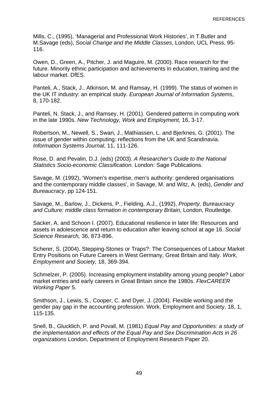Mills, C., (1995), 'Managerial and Professional Work Histories', in T.Butler and M.Savage (eds), *Social Change and the Middle Classes*, London, UCL Press, 95- 116.

Owen, D., Green, A., Pitcher, J. and Maguire, M. (2000). Race research for the future. Minority ethnic participation and achievements in education, training and the labour market. DfES.

Panteli, A., Stack, J., Atkinson, M. and Ramsay, H. (1999). The status of women in the UK IT industry: an empirical study. *European Journal of Information Systems*, 8, 170-182.

Panteli, N. Stack, J., and Ramsey, H. (2001). Gendered patterns in computing work in the late 1990s. *New Technology, Work and Employment,* 16, 3-17.

Robertson, M., Newell, S., Swan, J., Mathiassen, L. and Bjerknes, G. (2001). The issue of gender within computing: reflections from the UK and Scandinavia. *Information Systems Journal*, 11, 111-126.

Rose, D. and Pevalin, D.J. (eds) (2003). *A Researcher's Guide to the National Statistics Socio-economic Classification.* London: Sage Publications.

Savage, M. (1992), 'Women's expertise, men's authority: gendered organisations and the contemporary middle classes', in Savage, M. and Witz, A. (eds), *Gender and Bureaucracy*, pp 124-151.

Savage, M., Barlow, J., Dickens, P., Fielding, A.J., (1992), *Property, Bureaucracy and Culture: middle class formation in contemporary Britain*, London, Routledge.

Sacker, A. and Schoon I. (2007). Educational resilience in later life: Resources and assets in adolescence and return to education after leaving school at age 16. *Social Science Research,* 36, 873-896.

Scherer, S. (2004). Stepping-Stones or Traps?: The Consequences of Labour Market Entry Positions on Future Careers in West Germany, Great Britain and Italy. *Work, Employment and Society,* 18, 369-394.

Schmelzer, P. (2005). Increasing employment instability among young people? Labor market entries and early careers in Great Britain since the 1980s. *FlexCAREER Working Paper* 5.

Smithson, J., Lewis, S., Cooper, C. and Dyer, J. (2004). Flexible working and the gender pay gap in the accounting profession. Work, Employment and Society, 18, 1, 115-135.

Snell, B., Glucklich, P. and Povall, M. (1981) *Equal Pay and Opportunities: a study of the implementation and effects of the Equal Pay and Sex Discrimination Acts in 26 organizations* London, Department of Employment Research Paper 20.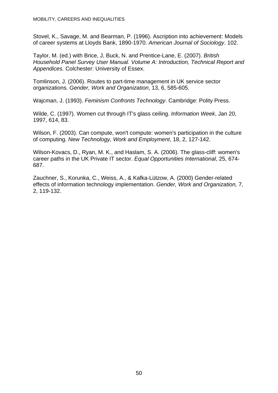Stovel, K., Savage, M. and Bearman, P. (1996). Ascription into achievement: Models of career systems at Lloyds Bank, 1890-1970. *American Journal of Sociology*. 102.

Taylor, M. (ed.) with Brice, J, Buck, N. and Prentice-Lane, E. (2007). *British Household Panel Survey User Manual. Volume A: Introduction, Technical Report and Appendices.* Colchester: University of Essex.

Tomlinson, J. (2006). Routes to part-time management in UK service sector organizations. *Gender, Work and Organization*, 13, 6, 585-605.

Wajcman, J. (1993). *Feminism Confronts Technology*. Cambridge: Polity Press.

Wilde, C. (1997). Women cut through IT's glass ceiling. *Information Week*, Jan 20, 1997, 614, 83.

Wilson, F. (2003). Can compute, won't compute: women's participation in the culture of computing. *New Technology, Work and Employment*, 18, 2, 127-142.

Wilson-Kovacs, D., Ryan, M. K., and Haslam, S. A. (2006). The glass-cliff: women's career paths in the UK Private IT sector. *Equal Opportunities International*, 25, 674- 687.

Zauchner, S., Korunka, C., Weiss, A., & Kafka-Lützow, A. (2000) Gender-related effects of information technology implementation. *Gender, Work and Organization,* 7, 2, 119-132.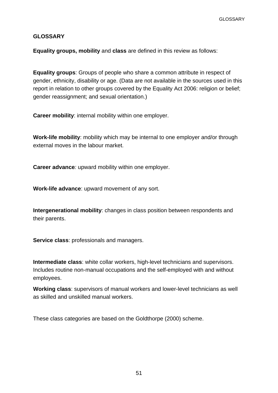#### **GLOSSARY**

**Equality groups, mobility** and **class** are defined in this review as follows:

**Equality groups**: Groups of people who share a common attribute in respect of gender, ethnicity, disability or age. (Data are not available in the sources used in this report in relation to other groups covered by the Equality Act 2006: religion or belief; gender reassignment; and sexual orientation.)

**Career mobility**: internal mobility within one employer.

**Work-life mobility**: mobility which may be internal to one employer and/or through external moves in the labour market.

**Career advance***:* upward mobility within one employer.

**Work-life advance**: upward movement of any sort.

**Intergenerational mobility**: changes in class position between respondents and their parents.

**Service class**: professionals and managers.

**Intermediate class**: white collar workers, high-level technicians and supervisors. Includes routine non-manual occupations and the self-employed with and without employees.

**Working class**: supervisors of manual workers and lower-level technicians as well as skilled and unskilled manual workers.

These class categories are based on the Goldthorpe (2000) scheme.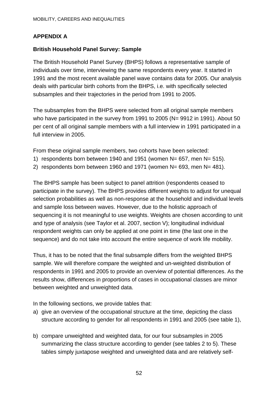# **APPENDIX A**

#### **British Household Panel Survey: Sample**

The British Household Panel Survey (BHPS) follows a representative sample of individuals over time, interviewing the same respondents every year. It started in 1991 and the most recent available panel wave contains data for 2005. Our analysis deals with particular birth cohorts from the BHPS, i.e. with specifically selected subsamples and their trajectories in the period from 1991 to 2005.

The subsamples from the BHPS were selected from all original sample members who have participated in the survey from 1991 to 2005 (N= 9912 in 1991). About 50 per cent of all original sample members with a full interview in 1991 participated in a full interview in 2005.

From these original sample members, two cohorts have been selected:

- 1) respondents born between 1940 and 1951 (women N= 657, men N= 515).
- 2) respondents born between 1960 and 1971 (women N= 693, men N= 481).

The BHPS sample has been subject to panel attrition (respondents ceased to participate in the survey). The BHPS provides different weights to adjust for unequal selection probabilities as well as non-response at the household and individual levels and sample loss between waves. However, due to the holistic approach of sequencing it is not meaningful to use weights. Weights are chosen according to unit and type of analysis (see Taylor et al. 2007, section V); longitudinal individual respondent weights can only be applied at one point in time (the last one in the sequence) and do not take into account the entire sequence of work life mobility.

Thus, it has to be noted that the final subsample differs from the weighted BHPS sample. We will therefore compare the weighted and un-weighted distribution of respondents in 1991 and 2005 to provide an overview of potential differences. As the results show, differences in proportions of cases in occupational classes are minor between weighted and unweighted data.

In the following sections, we provide tables that:

- a) give an overview of the occupational structure at the time, depicting the class structure according to gender for all respondents in 1991 and 2005 (see table 1),
- b) compare unweighted and weighted data, for our four subsamples in 2005 summarizing the class structure according to gender (see tables 2 to 5). These tables simply juxtapose weighted and unweighted data and are relatively self-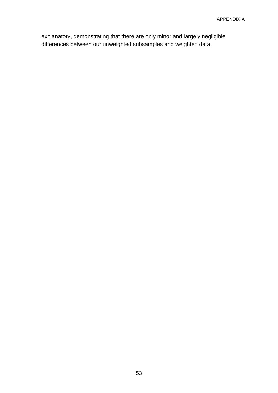explanatory, demonstrating that there are only minor and largely negligible differences between our unweighted subsamples and weighted data.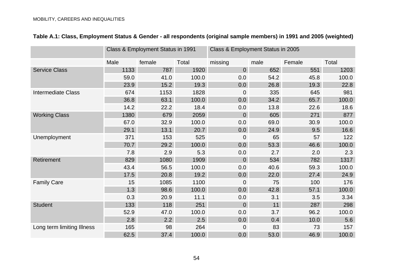|                            |      | Class & Employment Status in 1991 |       | Class & Employment Status in 2005 |      |        |       |
|----------------------------|------|-----------------------------------|-------|-----------------------------------|------|--------|-------|
|                            | Male | female                            | Total | missing                           | male | Female | Total |
| <b>Service Class</b>       | 1133 | 787                               | 1920  | $\overline{0}$                    | 652  | 551    | 1203  |
|                            | 59.0 | 41.0                              | 100.0 | 0.0                               | 54.2 | 45.8   | 100.0 |
|                            | 23.9 | 15.2                              | 19.3  | 0.0                               | 26.8 | 19.3   | 22.8  |
| <b>Intermediate Class</b>  | 674  | 1153                              | 1828  | 0                                 | 335  | 645    | 981   |
|                            | 36.8 | 63.1                              | 100.0 | 0.0                               | 34.2 | 65.7   | 100.0 |
|                            | 14.2 | 22.2                              | 18.4  | 0.0                               | 13.8 | 22.6   | 18.6  |
| <b>Working Class</b>       | 1380 | 679                               | 2059  | $\overline{0}$                    | 605  | 271    | 877   |
|                            | 67.0 | 32.9                              | 100.0 | 0.0                               | 69.0 | 30.9   | 100.0 |
|                            | 29.1 | 13.1                              | 20.7  | 0.0                               | 24.9 | 9.5    | 16.6  |
| Unemployment               | 371  | 153                               | 525   | $\overline{0}$                    | 65   | 57     | 122   |
|                            | 70.7 | 29.2                              | 100.0 | 0.0                               | 53.3 | 46.6   | 100.0 |
|                            | 7.8  | 2.9                               | 5.3   | 0.0                               | 2.7  | 2.0    | 2.3   |
| Retirement                 | 829  | 1080                              | 1909  | $\overline{0}$                    | 534  | 782    | 1317  |
|                            | 43.4 | 56.5                              | 100.0 | 0.0                               | 40.6 | 59.3   | 100.0 |
|                            | 17.5 | 20.8                              | 19.2  | 0.0                               | 22.0 | 27.4   | 24.9  |
| <b>Family Care</b>         | 15   | 1085                              | 1100  | $\overline{0}$                    | 75   | 100    | 176   |
|                            | 1.3  | 98.6                              | 100.0 | 0.0                               | 42.8 | 57.1   | 100.0 |
|                            | 0.3  | 20.9                              | 11.1  | 0.0                               | 3.1  | 3.5    | 3.34  |
| <b>Student</b>             | 133  | 118                               | 251   | $\overline{0}$                    | 11   | 287    | 298   |
|                            | 52.9 | 47.0                              | 100.0 | 0.0                               | 3.7  | 96.2   | 100.0 |
|                            | 2.8  | 2.2                               | 2.5   | 0.0                               | 0.4  | 10.0   | 5.6   |
| Long term limiting Illness | 165  | 98                                | 264   | $\overline{0}$                    | 83   | 73     | 157   |
|                            | 62.5 | 37.4                              | 100.0 | 0.0                               | 53.0 | 46.9   | 100.0 |

# **Table A.1: Class, Employment Status & Gender - all respondents (original sample members) in 1991 and 2005 (weighted)**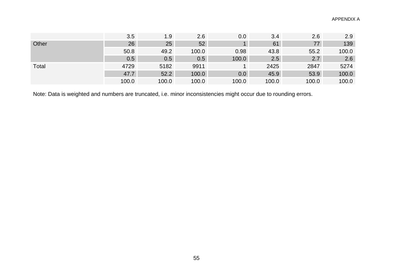|       | 3.5   | 1.9   | 2.6   | 0.0     | 3.4   | 2.6   | 2.9   |
|-------|-------|-------|-------|---------|-------|-------|-------|
| Other | 26    | 25    | 52    |         | 61    | 77    | 139   |
|       | 50.8  | 49.2  | 100.0 | 0.98    | 43.8  | 55.2  | 100.0 |
|       | 0.5   | 0.5   | 0.5   | 100.0   | 2.5   | 2.7   | 2.6   |
| Total | 4729  | 5182  | 9911  |         | 2425  | 2847  | 5274  |
|       | 47.7  | 52.2  | 100.0 | $0.0\,$ | 45.9  | 53.9  | 100.0 |
|       | 100.0 | 100.0 | 100.0 | 100.0   | 100.0 | 100.0 | 100.0 |

Note: Data is weighted and numbers are truncated, i.e. minor inconsistencies might occur due to rounding errors.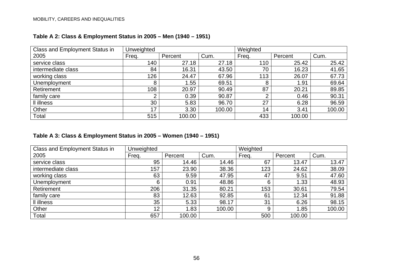| <b>Class and Employment Status in</b> | Unweighted |         |        | Weighted |         |        |
|---------------------------------------|------------|---------|--------|----------|---------|--------|
| 2005                                  | Freq.      | Percent | Cum.   | Freq.    | Percent | Cum.   |
| service class                         | 140        | 27.18   | 27.18  | 110      | 25.42   | 25.42  |
| intermediate class                    | 84         | 16.31   | 43.50  | 70       | 16.23   | 41.65  |
| working class                         | 126        | 24.47   | 67.96  | 113      | 26.07   | 67.73  |
| Unemployment                          | 8          | 1.55    | 69.51  | 8        | 1.91    | 69.64  |
| Retirement                            | 108        | 20.97   | 90.49  | 87       | 20.21   | 89.85  |
| family care                           | റ          | 0.39    | 90.87  | ⌒        | 0.46    | 90.31  |
| Il illness                            | 30         | 5.83    | 96.70  | 27       | 6.28    | 96.59  |
| Other                                 | 17         | 3.30    | 100.00 | 14       | 3.41    | 100.00 |
| Total                                 | 515        | 100.00  |        | 433      | 100.00  |        |

# **Table A 2: Class & Employment Status in 2005 – Men (1940 – 1951)**

### **Table A 3: Class & Employment Status in 2005 – Women (1940 – 1951)**

| Class and Employment Status in | Unweighted      |         |        | Weighted |         |        |
|--------------------------------|-----------------|---------|--------|----------|---------|--------|
| 2005                           | Freq.           | Percent | Cum.   | Freq.    | Percent | Cum.   |
| service class                  | 95              | 14.46   | 14.46  | 67       | 13.47   | 13.47  |
| intermediate class             | 157             | 23.90   | 38.36  | 123      | 24.62   | 38.09  |
| working class                  | 63              | 9.59    | 47.95  | 47       | 9.51    | 47.60  |
| Unemployment                   | 6               | 0.91    | 48.86  | 6        | 1.33    | 48.93  |
| Retirement                     | 206             | 31.35   | 80.21  | 153      | 30.61   | 79.54  |
| family care                    | 83              | 12.63   | 92.85  | 61       | 12.34   | 91.88  |
| Il illness                     | 35              | 5.33    | 98.17  | 31       | 6.26    | 98.15  |
| Other                          | 12 <sup>2</sup> | 1.83    | 100.00 | 9        | 1.85    | 100.00 |
| Total                          | 657             | 100.00  |        | 500      | 100.00  |        |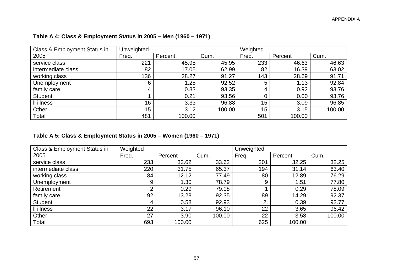| Class & Employment Status in | Unweighted      |         |        | Weighted |         |        |
|------------------------------|-----------------|---------|--------|----------|---------|--------|
| 2005                         | Freq.           | Percent | Cum.   | Freq.    | Percent | Cum.   |
| service class                | 221             | 45.95   | 45.95  | 233      | 46.63   | 46.63  |
| intermediate class           | 82              | 17.05   | 62.99  | 82       | 16.39   | 63.02  |
| working class                | 136             | 28.27   | 91.27  | 143      | 28.69   | 91.71  |
| Unemployment                 | 6               | .25     | 92.52  | 5        | 1.13    | 92.84  |
| family care                  | 4               | 0.83    | 93.35  | 4        | 0.92    | 93.76  |
| <b>Student</b>               |                 | 0.21    | 93.56  |          | 0.00    | 93.76  |
| Il illness                   | 16              | 3.33    | 96.88  | 15       | 3.09    | 96.85  |
| Other                        | 15 <sub>1</sub> | 3.12    | 100.00 | 15       | 3.15    | 100.00 |
| Total                        | 481             | 100.00  |        | 501      | 100.00  |        |

# **Table A 4: Class & Employment Status in 2005 – Men (1960 – 1971)**

### **Table A 5: Class & Employment Status in 2005 – Women (1960 – 1971)**

| Class & Employment Status in | Weighted |         |        | Unweighted |         |        |
|------------------------------|----------|---------|--------|------------|---------|--------|
| 2005                         | Freq.    | Percent | Cum.   | Freq.      | Percent | Cum.   |
| service class                | 233      | 33.62   | 33.62  | 201        | 32.25   | 32.25  |
| intermediate class           | 220      | 31.75   | 65.37  | 194        | 31.14   | 63.40  |
| working class                | 84       | 12.12   | 77.49  | 80         | 12.89   | 76.29  |
| Unemployment                 | 9        | 1.30    | 78.79  | 9          | 1.51    | 77.80  |
| Retirement                   | ◠        | 0.29    | 79.08  |            | 0.29    | 78.09  |
| family care                  | 92       | 13.28   | 92.35  | 89         | 14.29   | 92.37  |
| <b>Student</b>               | 4        | 0.58    | 92.93  | 2.         | 0.39    | 92.77  |
| Il illness                   | 22       | 3.17    | 96.10  | 22         | 3.65    | 96.42  |
| Other                        | 27       | 3.90    | 100.00 | 22         | 3.58    | 100.00 |
| Total                        | 693      | 100.00  |        | 625        | 100.00  |        |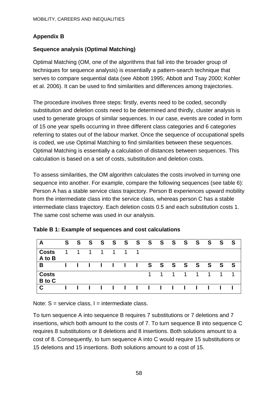# **Appendix B**

# **Sequence analysis (Optimal Matching)**

Optimal Matching (OM, one of the algorithms that fall into the broader group of techniques for sequence analysis) is essentially a pattern-search technique that serves to compare sequential data (see Abbott 1995; Abbott and Tsay 2000; Kohler et al. 2006). It can be used to find similarities and differences among trajectories.

The procedure involves three steps: firstly, events need to be coded, secondly substitution and deletion costs need to be determined and thirdly, cluster analysis is used to generate groups of similar sequences. In our case, events are coded in form of 15 one year spells occurring in three different class categories and 6 categories referring to states out of the labour market. Once the sequence of occupational spells is coded, we use Optimal Matching to find similarities between these sequences. Optimal Matching is essentially a calculation of distances between sequences. This calculation is based on a set of costs, substitution and deletion costs.

To assess similarities, the OM algorithm calculates the costs involved in turning one sequence into another. For example, compare the following sequences (see table 6): Person A has a stable service class trajectory. Person B experiences upward mobility from the intermediate class into the service class, whereas person C has a stable intermediate class trajectory. Each deletion costs 0.5 and each substitution costs 1. The same cost scheme was used in our analysis.

| A                                   | S. | <b>S</b> | S. |    |   |                | S S S S S S |          |           |                               | SSSS                      |   | S . | - S |
|-------------------------------------|----|----------|----|----|---|----------------|-------------|----------|-----------|-------------------------------|---------------------------|---|-----|-----|
| <b>Costs</b><br>$\overline{A}$ to B | 1. | 1        | 1  | 1. | 1 | $\overline{1}$ |             |          |           |                               |                           |   |     |     |
| B                                   |    |          |    |    |   |                |             |          |           |                               | I I I I I S S S S S S S S |   |     | -S  |
| <b>Costs</b><br>B to C              |    |          |    |    |   |                |             | $\sim$ 1 | $1 \quad$ | $1 \quad$                     | $\overline{1}$            | 1 | 1   |     |
| $\mathbf C$                         |    |          |    |    |   |                | 11111       |          |           | $\mathbf{I}$ and $\mathbf{I}$ |                           |   |     |     |

|  | Table B 1: Example of sequences and cost calculations |  |
|--|-------------------------------------------------------|--|
|  |                                                       |  |

Note:  $S =$  service class,  $I =$  intermediate class.

To turn sequence A into sequence B requires 7 substitutions or 7 deletions and 7 insertions, which both amount to the costs of 7. To turn sequence B into sequence C requires 8 substitutions or 8 deletions and 8 insertions. Both solutions amount to a cost of 8. Consequently, to turn sequence A into C would require 15 substitutions or 15 deletions and 15 insertions. Both solutions amount to a cost of 15.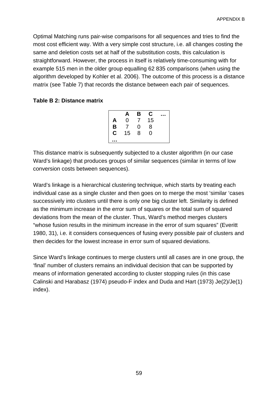Optimal Matching runs pair-wise comparisons for all sequences and tries to find the most cost efficient way. With a very simple cost structure, i.e. all changes costing the same and deletion costs set at half of the substitution costs, this calculation is straightforward. However, the process in itself is relatively time-consuming with for example 515 men in the older group equalling 62 835 comparisons (when using the algorithm developed by Kohler et al. 2006). The outcome of this process is a distance matrix (see Table 7) that records the distance between each pair of sequences.

#### **Table B 2: Distance matrix**

|                  | A  | В | С  |  |
|------------------|----|---|----|--|
| A                | 0  |   | 15 |  |
| B                | 7  | 0 | 8  |  |
| $\bar{\text{c}}$ | 15 | 8 | 0  |  |
| . .              |    |   |    |  |

This distance matrix is subsequently subjected to a cluster algorithm (in our case Ward's linkage) that produces groups of similar sequences (similar in terms of low conversion costs between sequences).

Ward's linkage is a hierarchical clustering technique, which starts by treating each individual case as a single cluster and then goes on to merge the most 'similar 'cases successively into clusters until there is only one big cluster left. Similarity is defined as the minimum increase in the error sum of squares or the total sum of squared deviations from the mean of the cluster. Thus, Ward's method merges clusters "whose fusion results in the minimum increase in the error of sum squares" (Everitt 1980, 31), i.e. it considers consequences of fusing every possible pair of clusters and then decides for the lowest increase in error sum of squared deviations.

Since Ward's linkage continues to merge clusters until all cases are in one group, the 'final' number of clusters remains an individual decision that can be supported by means of information generated according to cluster stopping rules (in this case Calinski and Harabasz (1974) pseudo-F index and Duda and Hart (1973) Je(2)/Je(1) index).

59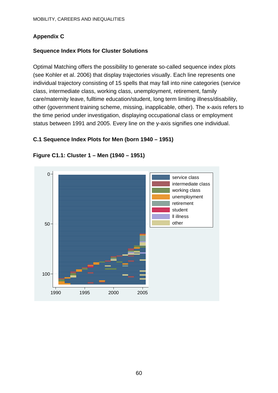# **Appendix C**

## **Sequence Index Plots for Cluster Solutions**

Optimal Matching offers the possibility to generate so-called sequence index plots (see Kohler et al. 2006) that display trajectories visually. Each line represents one individual trajectory consisting of 15 spells that may fall into nine categories (service class, intermediate class, working class, unemployment, retirement, family care/maternity leave, fulltime education/student, long term limiting illness/disability, other (government training scheme, missing, inapplicable, other). The x-axis refers to the time period under investigation, displaying occupational class or employment status between 1991 and 2005. Every line on the y-axis signifies one individual.

# **C.1 Sequence Index Plots for Men (born 1940 – 1951)**



### **Figure C1.1: Cluster 1 – Men (1940 – 1951)**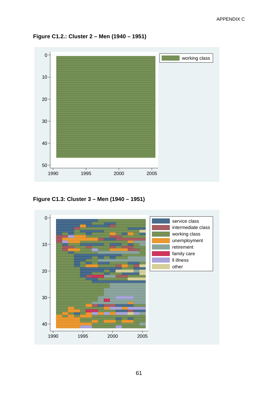



**Figure C1.3: Cluster 3 – Men (1940 – 1951)** 

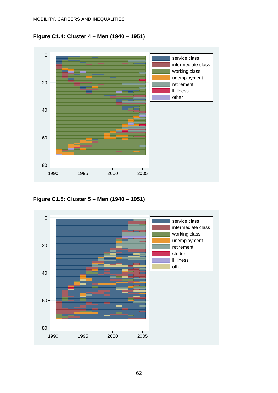



**Figure C1.5: Cluster 5 – Men (1940 – 1951)** 

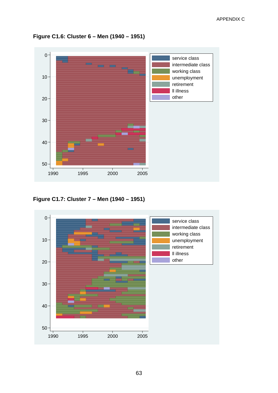

**Figure C1.6: Cluster 6 – Men (1940 – 1951)** 

**Figure C1.7: Cluster 7 – Men (1940 – 1951)** 

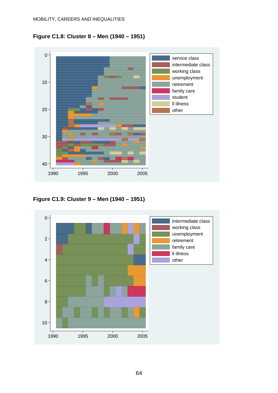



**Figure C1.9: Cluster 9 – Men (1940 – 1951)** 

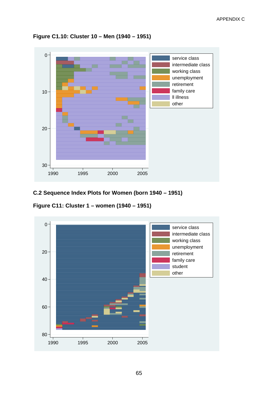

**Figure C1.10: Cluster 10 – Men (1940 – 1951)** 

**C.2 Sequence Index Plots for Women (born 1940 – 1951)** 

**Figure C11: Cluster 1 – women (1940 – 1951)** 

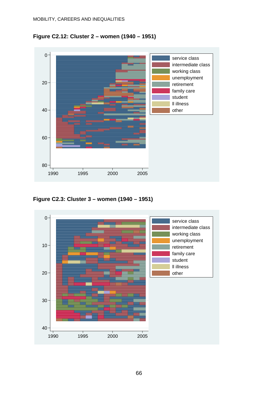



**Figure C2.3: Cluster 3 – women (1940 – 1951)** 

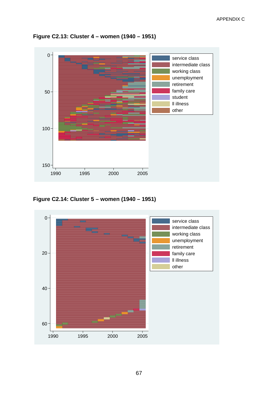

**Figure C2.13: Cluster 4 – women (1940 – 1951)** 

**Figure C2.14: Cluster 5 – women (1940 – 1951)** 

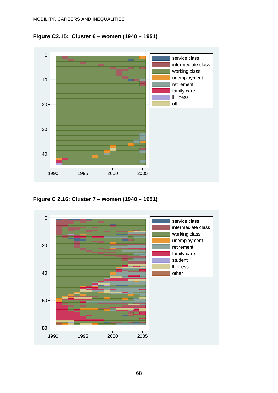



**Figure C 2.16: Cluster 7 – women (1940 – 1951)** 

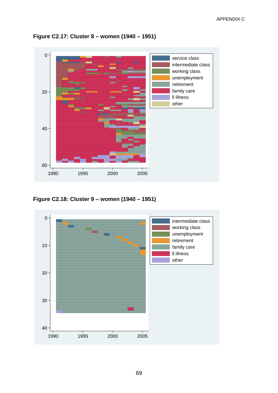

**Figure C2.17: Cluster 8 – women (1940 – 1951)** 

**Figure C2.18: Cluster 9 – women (1940 – 1951)** 

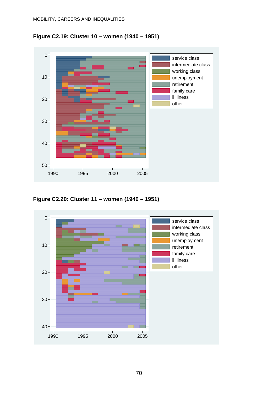



**Figure C2.20: Cluster 11 – women (1940 – 1951)** 

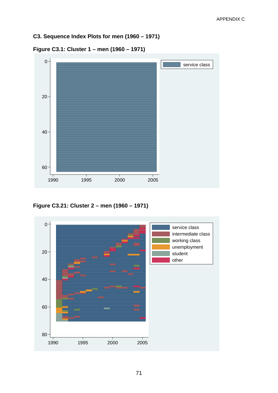**C3. Sequence Index Plots for men (1960 – 1971)** 



**Figure C3.1: Cluster 1 – men (1960 – 1971)** 

**Figure C3.21: Cluster 2 – men (1960 – 1971)** 

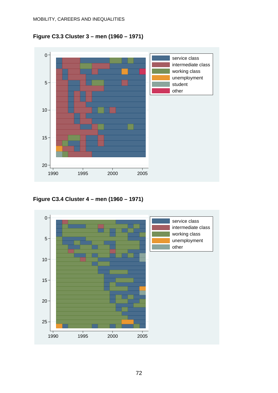



**Figure C3.4 Cluster 4 – men (1960 – 1971)** 

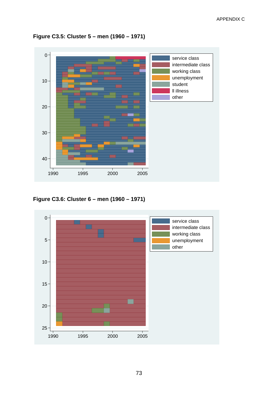

**Figure C3.5: Cluster 5 – men (1960 – 1971)** 

**Figure C3.6: Cluster 6 – men (1960 – 1971)** 

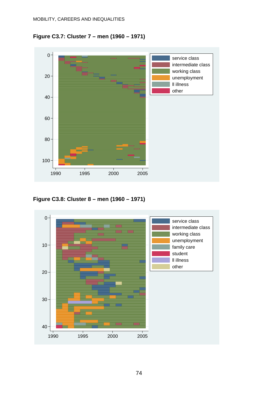**Figure C3.7: Cluster 7 – men (1960 – 1971)** 



**Figure C3.8: Cluster 8 – men (1960 – 1971)** 

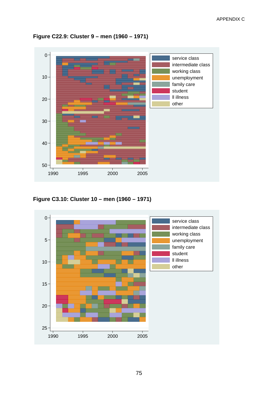

**Figure C22.9: Cluster 9 – men (1960 – 1971)** 

**Figure C3.10: Cluster 10 – men (1960 – 1971)** 

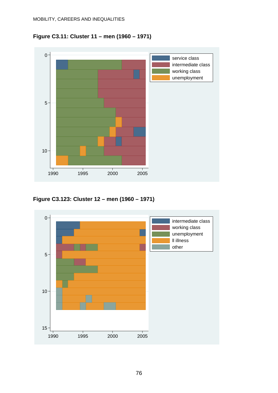



**Figure C3.123: Cluster 12 – men (1960 – 1971)** 

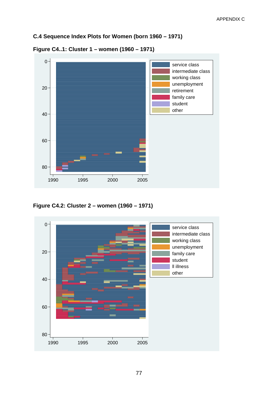#### **C.4 Sequence Index Plots for Women (born 1960 – 1971)**



**Figure C4..1: Cluster 1 – women (1960 – 1971)** 

**Figure C4.2: Cluster 2 – women (1960 – 1971)** 

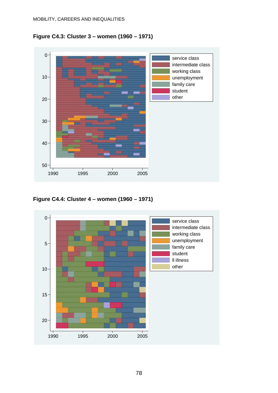**Figure C4.3: Cluster 3 – women (1960 – 1971)** 



**Figure C4.4: Cluster 4 – women (1960 – 1971)** 

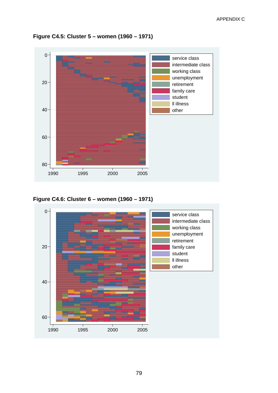

**Figure C4.5: Cluster 5 – women (1960 – 1971)** 

**Figure C4.6: Cluster 6 – women (1960 – 1971)** 

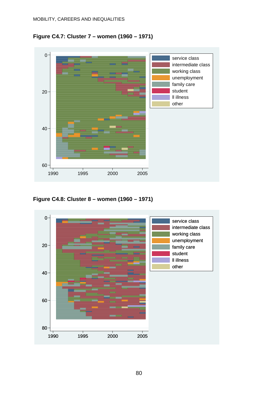**Figure C4.7: Cluster 7 – women (1960 – 1971)** 



**Figure C4.8: Cluster 8 – women (1960 – 1971)** 

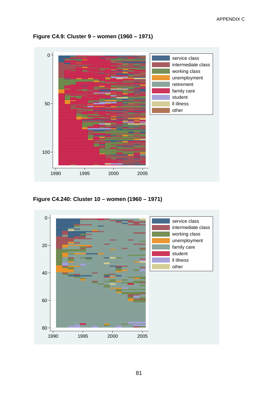

**Figure C4.9: Cluster 9 – women (1960 – 1971)** 

**Figure C4.240: Cluster 10 – women (1960 – 1971)** 

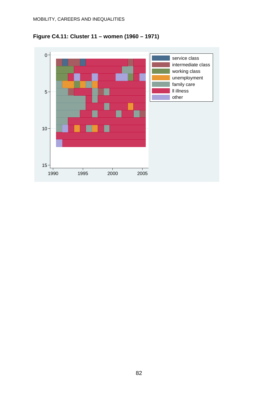

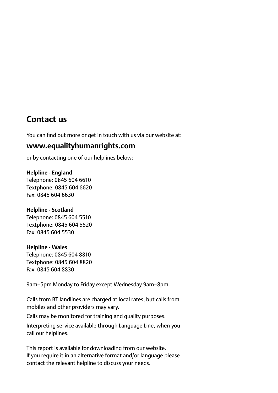# **Contact us**

You can find out more or get in touch with us via our website at:

# **www.equalityhumanrights.com**

or by contacting one of our helplines below:

#### **Helpline - England**

Telephone: 0845 604 6610 Textphone: 0845 604 6620 Fax: 0845 604 6630

#### **Helpline - Scotland**

Telephone: 0845 604 5510 Textphone: 0845 604 5520 Fax: 0845 604 5530

## **Helpline - Wales**

Telephone: 0845 604 8810 Textphone: 0845 604 8820 Fax: 0845 604 8830

9am–5pm Monday to Friday except Wednesday 9am–8pm.

Calls from BT landlines are charged at local rates, but calls from mobiles and other providers may vary.

Calls may be monitored for training and quality purposes.

Interpreting service available through Language Line, when you call our helplines.

This report is available for downloading from our website. If you require it in an alternative format and/or language please contact the relevant helpline to discuss your needs.